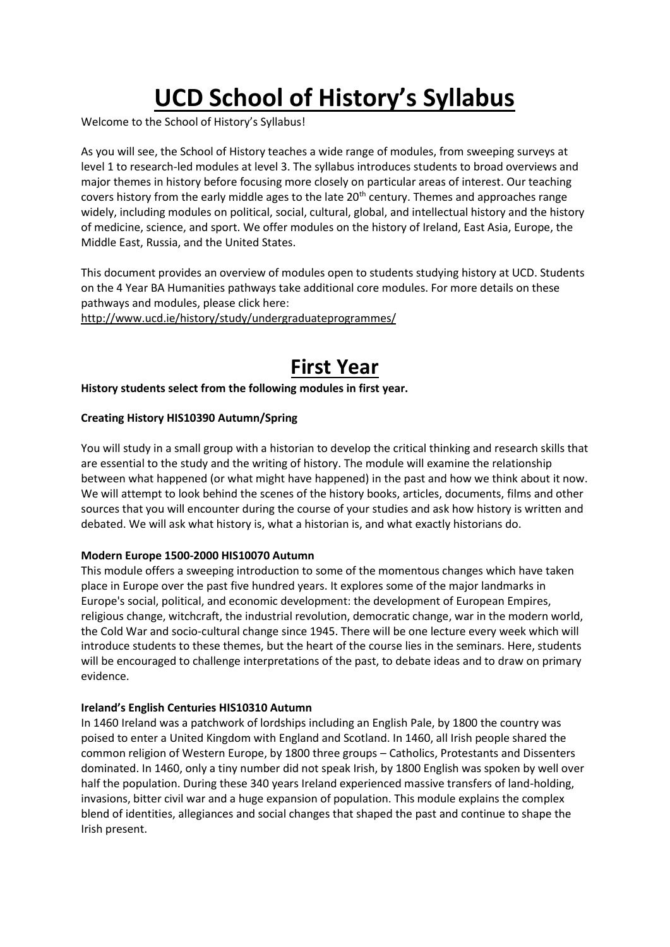# **UCD School of History's Syllabus**

Welcome to the School of History's Syllabus!

As you will see, the School of History teaches a wide range of modules, from sweeping surveys at level 1 to research-led modules at level 3. The syllabus introduces students to broad overviews and major themes in history before focusing more closely on particular areas of interest. Our teaching covers history from the early middle ages to the late 20<sup>th</sup> century. Themes and approaches range widely, including modules on political, social, cultural, global, and intellectual history and the history of medicine, science, and sport. We offer modules on the history of Ireland, East Asia, Europe, the Middle East, Russia, and the United States.

This document provides an overview of modules open to students studying history at UCD. Students on the 4 Year BA Humanities pathways take additional core modules. For more details on these pathways and modules, please click here:

http://www.ucd.ie/history/study/undergraduateprogrammes/

# **First Year**

**History students select from the following modules in first year.** 

# **Creating History HIS10390 Autumn/Spring**

You will study in a small group with a historian to develop the critical thinking and research skills that are essential to the study and the writing of history. The module will examine the relationship between what happened (or what might have happened) in the past and how we think about it now. We will attempt to look behind the scenes of the history books, articles, documents, films and other sources that you will encounter during the course of your studies and ask how history is written and debated. We will ask what history is, what a historian is, and what exactly historians do.

# **Modern Europe 1500-2000 HIS10070 Autumn**

This module offers a sweeping introduction to some of the momentous changes which have taken place in Europe over the past five hundred years. It explores some of the major landmarks in Europe's social, political, and economic development: the development of European Empires, religious change, witchcraft, the industrial revolution, democratic change, war in the modern world, the Cold War and socio-cultural change since 1945. There will be one lecture every week which will introduce students to these themes, but the heart of the course lies in the seminars. Here, students will be encouraged to challenge interpretations of the past, to debate ideas and to draw on primary evidence.

# **Ireland's English Centuries HIS10310 Autumn**

In 1460 Ireland was a patchwork of lordships including an English Pale, by 1800 the country was poised to enter a United Kingdom with England and Scotland. In 1460, all Irish people shared the common religion of Western Europe, by 1800 three groups – Catholics, Protestants and Dissenters dominated. In 1460, only a tiny number did not speak Irish, by 1800 English was spoken by well over half the population. During these 340 years Ireland experienced massive transfers of land-holding, invasions, bitter civil war and a huge expansion of population. This module explains the complex blend of identities, allegiances and social changes that shaped the past and continue to shape the Irish present.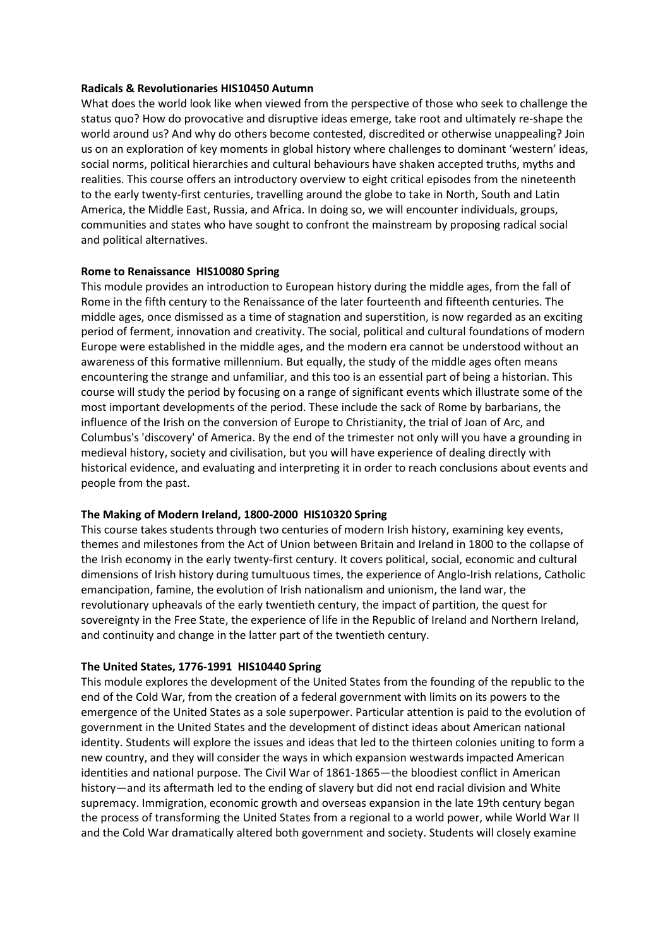### **Radicals & Revolutionaries HIS10450 Autumn**

What does the world look like when viewed from the perspective of those who seek to challenge the status quo? How do provocative and disruptive ideas emerge, take root and ultimately re-shape the world around us? And why do others become contested, discredited or otherwise unappealing? Join us on an exploration of key moments in global history where challenges to dominant 'western' ideas, social norms, political hierarchies and cultural behaviours have shaken accepted truths, myths and realities. This course offers an introductory overview to eight critical episodes from the nineteenth to the early twenty-first centuries, travelling around the globe to take in North, South and Latin America, the Middle East, Russia, and Africa. In doing so, we will encounter individuals, groups, communities and states who have sought to confront the mainstream by proposing radical social and political alternatives.

# **Rome to Renaissance HIS10080 Spring**

This module provides an introduction to European history during the middle ages, from the fall of Rome in the fifth century to the Renaissance of the later fourteenth and fifteenth centuries. The middle ages, once dismissed as a time of stagnation and superstition, is now regarded as an exciting period of ferment, innovation and creativity. The social, political and cultural foundations of modern Europe were established in the middle ages, and the modern era cannot be understood without an awareness of this formative millennium. But equally, the study of the middle ages often means encountering the strange and unfamiliar, and this too is an essential part of being a historian. This course will study the period by focusing on a range of significant events which illustrate some of the most important developments of the period. These include the sack of Rome by barbarians, the influence of the Irish on the conversion of Europe to Christianity, the trial of Joan of Arc, and Columbus's 'discovery' of America. By the end of the trimester not only will you have a grounding in medieval history, society and civilisation, but you will have experience of dealing directly with historical evidence, and evaluating and interpreting it in order to reach conclusions about events and people from the past.

# **The Making of Modern Ireland, 1800-2000 HIS10320 Spring**

This course takes students through two centuries of modern Irish history, examining key events, themes and milestones from the Act of Union between Britain and Ireland in 1800 to the collapse of the Irish economy in the early twenty-first century. It covers political, social, economic and cultural dimensions of Irish history during tumultuous times, the experience of Anglo-Irish relations, Catholic emancipation, famine, the evolution of Irish nationalism and unionism, the land war, the revolutionary upheavals of the early twentieth century, the impact of partition, the quest for sovereignty in the Free State, the experience of life in the Republic of Ireland and Northern Ireland, and continuity and change in the latter part of the twentieth century.

# **The United States, 1776-1991 HIS10440 Spring**

This module explores the development of the United States from the founding of the republic to the end of the Cold War, from the creation of a federal government with limits on its powers to the emergence of the United States as a sole superpower. Particular attention is paid to the evolution of government in the United States and the development of distinct ideas about American national identity. Students will explore the issues and ideas that led to the thirteen colonies uniting to form a new country, and they will consider the ways in which expansion westwards impacted American identities and national purpose. The Civil War of 1861-1865—the bloodiest conflict in American history—and its aftermath led to the ending of slavery but did not end racial division and White supremacy. Immigration, economic growth and overseas expansion in the late 19th century began the process of transforming the United States from a regional to a world power, while World War II and the Cold War dramatically altered both government and society. Students will closely examine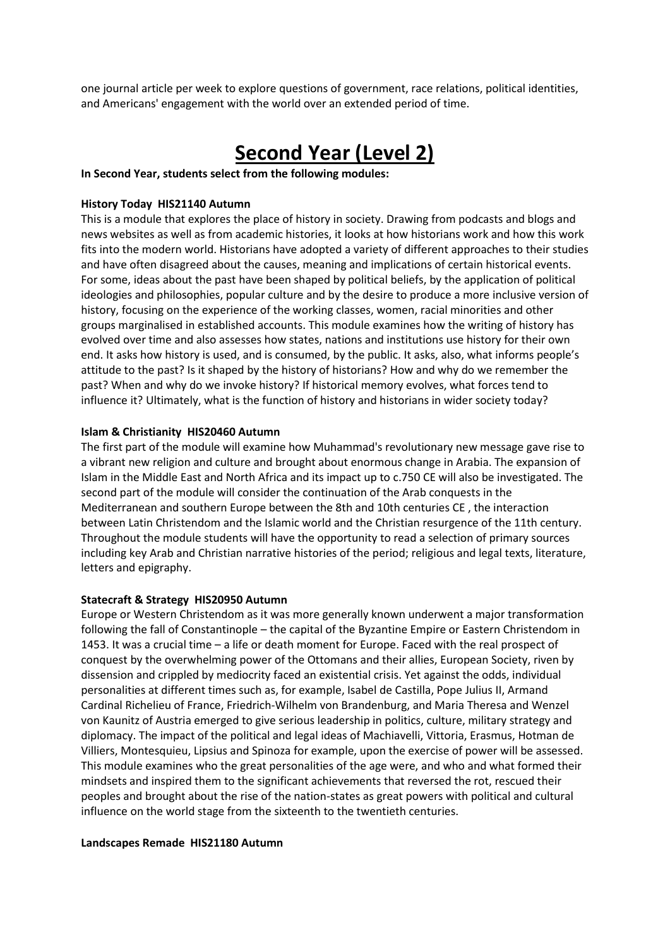one journal article per week to explore questions of government, race relations, political identities, and Americans' engagement with the world over an extended period of time.

# **Second Year (Level 2)**

**In Second Year, students select from the following modules:** 

#### **History Today HIS21140 Autumn**

This is a module that explores the place of history in society. Drawing from podcasts and blogs and news websites as well as from academic histories, it looks at how historians work and how this work fits into the modern world. Historians have adopted a variety of different approaches to their studies and have often disagreed about the causes, meaning and implications of certain historical events. For some, ideas about the past have been shaped by political beliefs, by the application of political ideologies and philosophies, popular culture and by the desire to produce a more inclusive version of history, focusing on the experience of the working classes, women, racial minorities and other groups marginalised in established accounts. This module examines how the writing of history has evolved over time and also assesses how states, nations and institutions use history for their own end. It asks how history is used, and is consumed, by the public. It asks, also, what informs people's attitude to the past? Is it shaped by the history of historians? How and why do we remember the past? When and why do we invoke history? If historical memory evolves, what forces tend to influence it? Ultimately, what is the function of history and historians in wider society today?

#### **Islam & Christianity HIS20460 Autumn**

The first part of the module will examine how Muhammad's revolutionary new message gave rise to a vibrant new religion and culture and brought about enormous change in Arabia. The expansion of Islam in the Middle East and North Africa and its impact up to c.750 CE will also be investigated. The second part of the module will consider the continuation of the Arab conquests in the Mediterranean and southern Europe between the 8th and 10th centuries CE , the interaction between Latin Christendom and the Islamic world and the Christian resurgence of the 11th century. Throughout the module students will have the opportunity to read a selection of primary sources including key Arab and Christian narrative histories of the period; religious and legal texts, literature, letters and epigraphy.

#### **Statecraft & Strategy HIS20950 Autumn**

Europe or Western Christendom as it was more generally known underwent a major transformation following the fall of Constantinople – the capital of the Byzantine Empire or Eastern Christendom in 1453. It was a crucial time – a life or death moment for Europe. Faced with the real prospect of conquest by the overwhelming power of the Ottomans and their allies, European Society, riven by dissension and crippled by mediocrity faced an existential crisis. Yet against the odds, individual personalities at different times such as, for example, Isabel de Castilla, Pope Julius II, Armand Cardinal Richelieu of France, Friedrich-Wilhelm von Brandenburg, and Maria Theresa and Wenzel von Kaunitz of Austria emerged to give serious leadership in politics, culture, military strategy and diplomacy. The impact of the political and legal ideas of Machiavelli, Vittoria, Erasmus, Hotman de Villiers, Montesquieu, Lipsius and Spinoza for example, upon the exercise of power will be assessed. This module examines who the great personalities of the age were, and who and what formed their mindsets and inspired them to the significant achievements that reversed the rot, rescued their peoples and brought about the rise of the nation-states as great powers with political and cultural influence on the world stage from the sixteenth to the twentieth centuries.

#### **Landscapes Remade HIS21180 Autumn**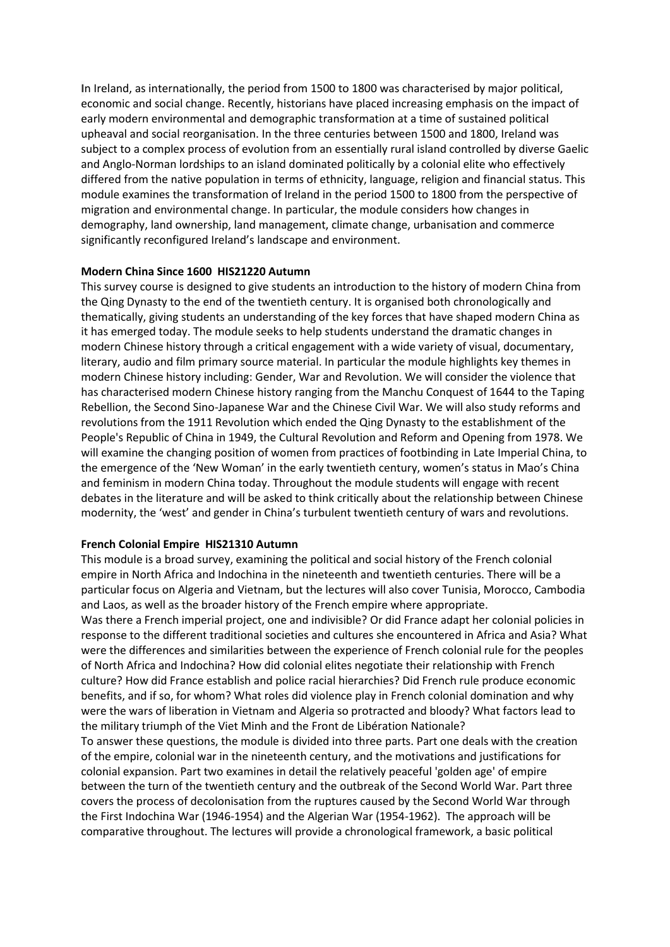**I**n Ireland, as internationally, the period from 1500 to 1800 was characterised by major political, economic and social change. Recently, historians have placed increasing emphasis on the impact of early modern environmental and demographic transformation at a time of sustained political upheaval and social reorganisation. In the three centuries between 1500 and 1800, Ireland was subject to a complex process of evolution from an essentially rural island controlled by diverse Gaelic and Anglo-Norman lordships to an island dominated politically by a colonial elite who effectively differed from the native population in terms of ethnicity, language, religion and financial status. This module examines the transformation of Ireland in the period 1500 to 1800 from the perspective of migration and environmental change. In particular, the module considers how changes in demography, land ownership, land management, climate change, urbanisation and commerce significantly reconfigured Ireland's landscape and environment.

#### **Modern China Since 1600 HIS21220 Autumn**

This survey course is designed to give students an introduction to the history of modern China from the Qing Dynasty to the end of the twentieth century. It is organised both chronologically and thematically, giving students an understanding of the key forces that have shaped modern China as it has emerged today. The module seeks to help students understand the dramatic changes in modern Chinese history through a critical engagement with a wide variety of visual, documentary, literary, audio and film primary source material. In particular the module highlights key themes in modern Chinese history including: Gender, War and Revolution. We will consider the violence that has characterised modern Chinese history ranging from the Manchu Conquest of 1644 to the Taping Rebellion, the Second Sino-Japanese War and the Chinese Civil War. We will also study reforms and revolutions from the 1911 Revolution which ended the Qing Dynasty to the establishment of the People's Republic of China in 1949, the Cultural Revolution and Reform and Opening from 1978. We will examine the changing position of women from practices of footbinding in Late Imperial China, to the emergence of the 'New Woman' in the early twentieth century, women's status in Mao's China and feminism in modern China today. Throughout the module students will engage with recent debates in the literature and will be asked to think critically about the relationship between Chinese modernity, the 'west' and gender in China's turbulent twentieth century of wars and revolutions.

#### **French Colonial Empire HIS21310 Autumn**

This module is a broad survey, examining the political and social history of the French colonial empire in North Africa and Indochina in the nineteenth and twentieth centuries. There will be a particular focus on Algeria and Vietnam, but the lectures will also cover Tunisia, Morocco, Cambodia and Laos, as well as the broader history of the French empire where appropriate.

Was there a French imperial project, one and indivisible? Or did France adapt her colonial policies in response to the different traditional societies and cultures she encountered in Africa and Asia? What were the differences and similarities between the experience of French colonial rule for the peoples of North Africa and Indochina? How did colonial elites negotiate their relationship with French culture? How did France establish and police racial hierarchies? Did French rule produce economic benefits, and if so, for whom? What roles did violence play in French colonial domination and why were the wars of liberation in Vietnam and Algeria so protracted and bloody? What factors lead to the military triumph of the Viet Minh and the Front de Libération Nationale?

To answer these questions, the module is divided into three parts. Part one deals with the creation of the empire, colonial war in the nineteenth century, and the motivations and justifications for colonial expansion. Part two examines in detail the relatively peaceful 'golden age' of empire between the turn of the twentieth century and the outbreak of the Second World War. Part three covers the process of decolonisation from the ruptures caused by the Second World War through the First Indochina War (1946-1954) and the Algerian War (1954-1962). The approach will be comparative throughout. The lectures will provide a chronological framework, a basic political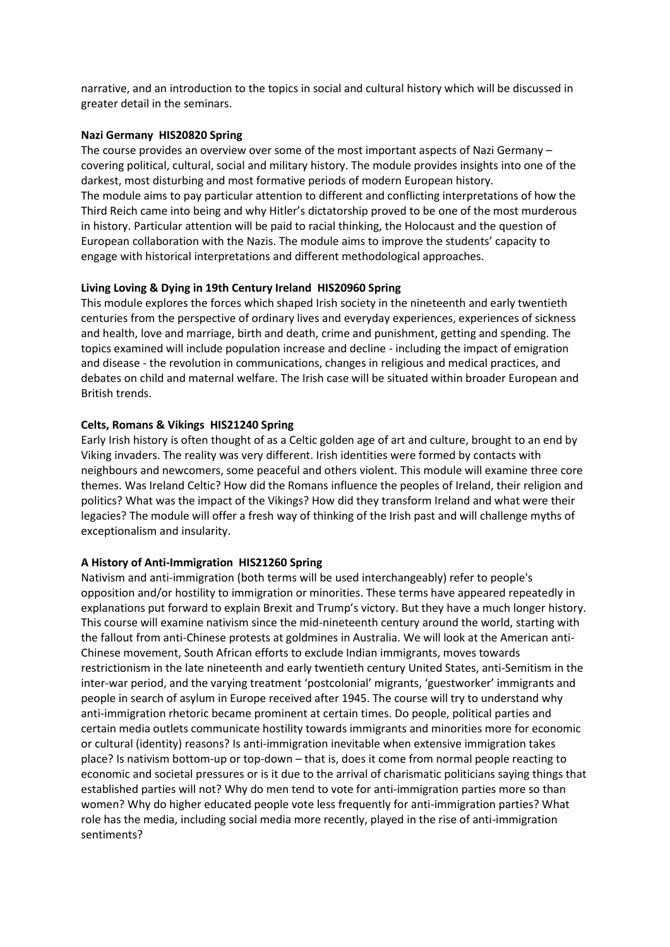narrative, and an introduction to the topics in social and cultural history which will be discussed in greater detail in the seminars.

# **Nazi Germany HIS20820 Spring**

The course provides an overview over some of the most important aspects of Nazi Germany – covering political, cultural, social and military history. The module provides insights into one of the darkest, most disturbing and most formative periods of modern European history. The module aims to pay particular attention to different and conflicting interpretations of how the Third Reich came into being and why Hitler's dictatorship proved to be one of the most murderous in history. Particular attention will be paid to racial thinking, the Holocaust and the question of European collaboration with the Nazis. The module aims to improve the students' capacity to engage with historical interpretations and different methodological approaches.

#### **Living Loving & Dying in 19th Century Ireland HIS20960 Spring**

This module explores the forces which shaped Irish society in the nineteenth and early twentieth centuries from the perspective of ordinary lives and everyday experiences, experiences of sickness and health, love and marriage, birth and death, crime and punishment, getting and spending. The topics examined will include population increase and decline - including the impact of emigration and disease - the revolution in communications, changes in religious and medical practices, and debates on child and maternal welfare. The Irish case will be situated within broader European and British trends.

#### **Celts, Romans & Vikings HIS21240 Spring**

Early Irish history is often thought of as a Celtic golden age of art and culture, brought to an end by Viking invaders. The reality was very different. Irish identities were formed by contacts with neighbours and newcomers, some peaceful and others violent. This module will examine three core themes. Was Ireland Celtic? How did the Romans influence the peoples of Ireland, their religion and politics? What was the impact of the Vikings? How did they transform Ireland and what were their legacies? The module will offer a fresh way of thinking of the Irish past and will challenge myths of exceptionalism and insularity.

# **A History of Anti-Immigration HIS21260 Spring**

Nativism and anti-immigration (both terms will be used interchangeably) refer to people's opposition and/or hostility to immigration or minorities. These terms have appeared repeatedly in explanations put forward to explain Brexit and Trump's victory. But they have a much longer history. This course will examine nativism since the mid-nineteenth century around the world, starting with the fallout from anti-Chinese protests at goldmines in Australia. We will look at the American anti-Chinese movement, South African efforts to exclude Indian immigrants, moves towards restrictionism in the late nineteenth and early twentieth century United States, anti-Semitism in the inter-war period, and the varying treatment 'postcolonial' migrants, 'guestworker' immigrants and people in search of asylum in Europe received after 1945. The course will try to understand why anti-immigration rhetoric became prominent at certain times. Do people, political parties and certain media outlets communicate hostility towards immigrants and minorities more for economic or cultural (identity) reasons? Is anti-immigration inevitable when extensive immigration takes place? Is nativism bottom-up or top-down – that is, does it come from normal people reacting to economic and societal pressures or is it due to the arrival of charismatic politicians saying things that established parties will not? Why do men tend to vote for anti-immigration parties more so than women? Why do higher educated people vote less frequently for anti-immigration parties? What role has the media, including social media more recently, played in the rise of anti-immigration sentiments?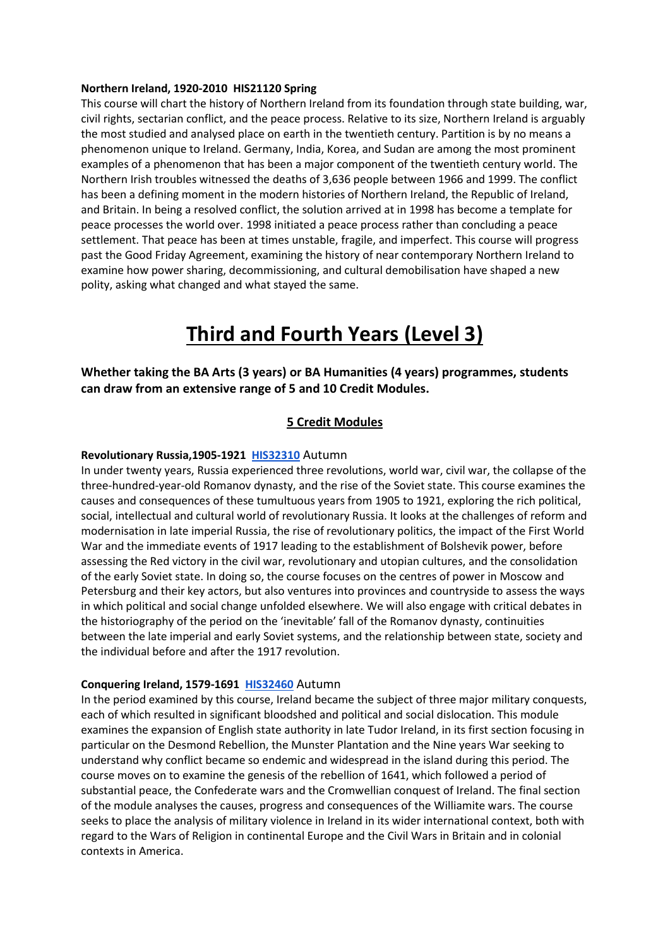### **Northern Ireland, 1920-2010 HIS21120 Spring**

This course will chart the history of Northern Ireland from its foundation through state building, war, civil rights, sectarian conflict, and the peace process. Relative to its size, Northern Ireland is arguably the most studied and analysed place on earth in the twentieth century. Partition is by no means a phenomenon unique to Ireland. Germany, India, Korea, and Sudan are among the most prominent examples of a phenomenon that has been a major component of the twentieth century world. The Northern Irish troubles witnessed the deaths of 3,636 people between 1966 and 1999. The conflict has been a defining moment in the modern histories of Northern Ireland, the Republic of Ireland, and Britain. In being a resolved conflict, the solution arrived at in 1998 has become a template for peace processes the world over. 1998 initiated a peace process rather than concluding a peace settlement. That peace has been at times unstable, fragile, and imperfect. This course will progress past the Good Friday Agreement, examining the history of near contemporary Northern Ireland to examine how power sharing, decommissioning, and cultural demobilisation have shaped a new polity, asking what changed and what stayed the same.

# **Third and Fourth Years (Level 3)**

**Whether taking the BA Arts (3 years) or BA Humanities (4 years) programmes, students can draw from an extensive range of 5 and 10 Credit Modules.** 

# **5 Credit Modules**

# **Revolutionary Russia,1905-1921 [HIS32310](https://hub.ucd.ie/usis/W_HU_REPORTING.P_DISPLAY_REPORT?p_report=ME200&p_parameters=6F7FE4B89EF8F42B42A2F024123B513812C2246A0348C3724335A895ACC0D683230720BD017689ABE788A6EFD2994B603F39776F994F0A6B9D8CBB5940872F666474AAC041A534311AA571A3DBF27E30CB6BA1197797C7C183A36A50242075C883576DEBB9F9750773F6AE87C9FF4F1DC09F6837BA520B3DEAA3DACCA9DC6E326FAE8ADB5345BF7A11218D0D343FF9EEF9BAEBAF264B692643B1D9702821F58550D07D73B88D6CAB7FCAC82E14467DEEEAA51BFFFAA5FDC34794F8E9531469FE661389DDBB5CE2E65D33C83A026F8674155BBD4AA48E6E263D8B9F5CEA6AFB75E830754E3E573874D2D2591CFD5812BBE7E8AE1A368F4D45D26238A4D9E204BCB749B7BB1E932C77852F51E0C2C5D44945256AD7D66B78AABDCA1B57804EB7160A66E8BC1422D5CCC480BFC117B60587B4F6051FBAC231722E745C06CAC8F0148166178AC255D0CFA88C8F2F26F07CF741E3EC1FB6F0F27F42FE77BEB538D1F7746C2A304EBA33A1A8FFCC0BF0D324F7E4EAA66CB310A05D21C2523823494F4B6620AAB0C2FD31BCB9E282D510255086B8647940BB6DEA8A95337AEF6675237C4C7B9D8AEDDCD768E7AFDE9471C982BE1581A3B93D31C868031DF81D0DF558D19936261A5195F5E417F5A69ACCB322F646E399F3543F8F79FCC22C9ABB326009)** Autumn

In under twenty years, Russia experienced three revolutions, world war, civil war, the collapse of the three-hundred-year-old Romanov dynasty, and the rise of the Soviet state. This course examines the causes and consequences of these tumultuous years from 1905 to 1921, exploring the rich political, social, intellectual and cultural world of revolutionary Russia. It looks at the challenges of reform and modernisation in late imperial Russia, the rise of revolutionary politics, the impact of the First World War and the immediate events of 1917 leading to the establishment of Bolshevik power, before assessing the Red victory in the civil war, revolutionary and utopian cultures, and the consolidation of the early Soviet state. In doing so, the course focuses on the centres of power in Moscow and Petersburg and their key actors, but also ventures into provinces and countryside to assess the ways in which political and social change unfolded elsewhere. We will also engage with critical debates in the historiography of the period on the 'inevitable' fall of the Romanov dynasty, continuities between the late imperial and early Soviet systems, and the relationship between state, society and the individual before and after the 1917 revolution.

#### **Conquering Ireland, 1579-1691 [HIS32460](https://hub.ucd.ie/usis/W_HU_REPORTING.P_DISPLAY_REPORT?p_report=ME200&p_parameters=6F7FE4B89EF8F42B42A2F024123B513812C2246A0348C3724335A895ACC0D683230720BD017689ABE788A6EFD2994B603F39776F994F0A6B9D8CBB5940872F666474AAC041A534311AA571A3DBF27E30CB6BA1197797C7C183A36A50242075C883576DEBB9F9750773F6AE87C9FF4F1DC09F6837BA520B3DEAA3DACCA9DC6E326FAE8ADB5345BF7A11218D0D343FF9EE36D88F67410CD38BC41BBA9D064AC3FF94CDA3A44ECB8816FE436CE82BF515B0333B0EE5F6F7864AA5367818E4ED8BD93CD69F6C8AD0E922BC217F55300538CDE92DD38374C8B40721C8E56996328DC404E487B06C8046F4D058D1A074C2BAE33D301EEAFE4079C6D09621F06679EA80A86FAE40D13CC3193B95099627BE52A28D9A3B5D168E998DBDA3C8B28A02B4920590900F1B166362FF284408EC490D3936B47BF3A4706B0F9185330BA5D18B8DBAFC436CC315A040AE5EEC8BCB03DA310B83B4D07A3F5961132F9084582B84AAAC4579E7B2C39979BD8DA69789A1B40008F3EDE9C0DBA28917FB644944A68B8A9471933B84F666A66A42CCCEFAEB78B977763C1328A46E66C1745DDB221785D33577D7D43A654D44584A396678DD2D830CF01350CE4554B1E860A68024C7D825F379C967F3D599144D13FEC38B11DFA1A86EF715AD3FFEEA22A8ACEFA8462B58)** Autumn

In the period examined by this course, Ireland became the subject of three major military conquests, each of which resulted in significant bloodshed and political and social dislocation. This module examines the expansion of English state authority in late Tudor Ireland, in its first section focusing in particular on the Desmond Rebellion, the Munster Plantation and the Nine years War seeking to understand why conflict became so endemic and widespread in the island during this period. The course moves on to examine the genesis of the rebellion of 1641, which followed a period of substantial peace, the Confederate wars and the Cromwellian conquest of Ireland. The final section of the module analyses the causes, progress and consequences of the Williamite wars. The course seeks to place the analysis of military violence in Ireland in its wider international context, both with regard to the Wars of Religion in continental Europe and the Civil Wars in Britain and in colonial contexts in America.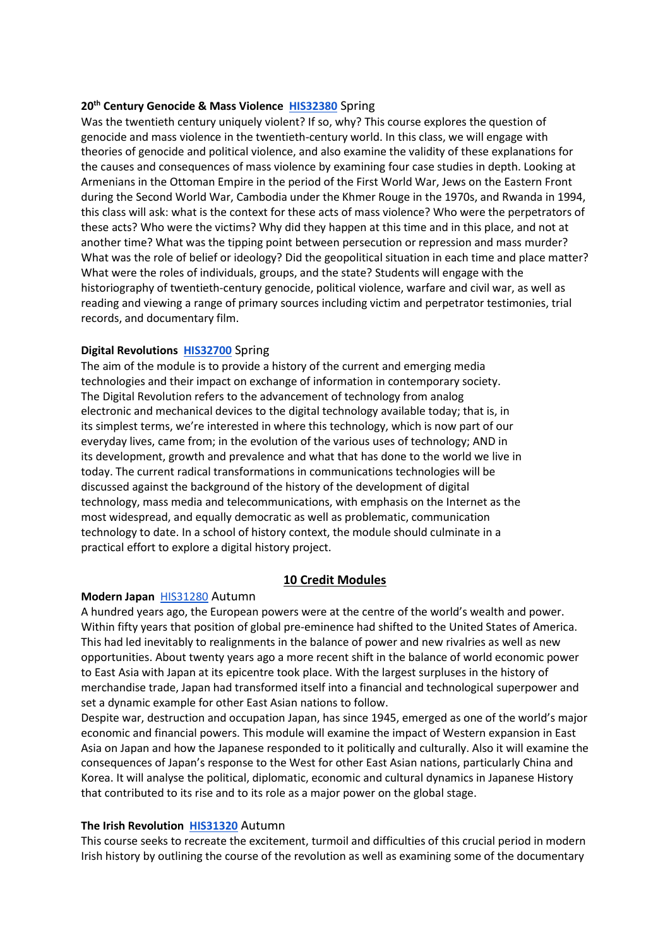#### **20th Century Genocide & Mass Violence [HIS32380](https://hub.ucd.ie/usis/W_HU_REPORTING.P_DISPLAY_REPORT?p_report=ME200&p_parameters=6F7FE4B89EF8F42B42A2F024123B513812C2246A0348C3724335A895ACC0D683230720BD017689ABE788A6EFD2994B603F39776F994F0A6B9D8CBB5940872F666474AAC041A534311AA571A3DBF27E30CB6BA1197797C7C183A36A50242075C883576DEBB9F9750773F6AE87C9FF4F1DC09F6837BA520B3DEAA3DACCA9DC6E326FAE8ADB5345BF7A11218D0D343FF9EEF973508DEF910733F357DAA195C27DD5AFC82591E0C076D19E605F409D741959475D32CF2019A107A6DAC05A2A7EF10D4764F68C6A82EA620330709CBED27A334676E5A2300572DB6ED2AD8D45FC74F1D6B2E3ED62306D291DB9B961C29946FBF5865AB1A410B403A0807D8057F0ECE7CE80D2B56A81E498E2EC6C176A6D508BA4CCA92AB579AC682B92508DF0E6F49F46F7B67EE270F7A40605669705D48BC048FA364C7295B66903AE9B42823A9AD7CC27BF864DBE4C00D4E6A88BE486A398D41359FB4125949CD41442E3BE7007800688C8F4E5D99EFC56C2736CA998BD4C57E5A41001A5AD651CBCCE96FDB21FCCC4604413879A6ACCAA2795D2273E1A1C656C393C68226AEF0EFB647207769F8D5F59B4C90CE9BDF6CE3ADEB9A1B9B1F0A85E6040C839887805AD5FB948FA51F42AC61A97FE03568290A759F41EF6B7607D3BF15291DF15799E176F44EB06D716)** Spring

Was the twentieth century uniquely violent? If so, why? This course explores the question of genocide and mass violence in the twentieth-century world. In this class, we will engage with theories of genocide and political violence, and also examine the validity of these explanations for the causes and consequences of mass violence by examining four case studies in depth. Looking at Armenians in the Ottoman Empire in the period of the First World War, Jews on the Eastern Front during the Second World War, Cambodia under the Khmer Rouge in the 1970s, and Rwanda in 1994, this class will ask: what is the context for these acts of mass violence? Who were the perpetrators of these acts? Who were the victims? Why did they happen at this time and in this place, and not at another time? What was the tipping point between persecution or repression and mass murder? What was the role of belief or ideology? Did the geopolitical situation in each time and place matter? What were the roles of individuals, groups, and the state? Students will engage with the historiography of twentieth-century genocide, political violence, warfare and civil war, as well as reading and viewing a range of primary sources including victim and perpetrator testimonies, trial records, and documentary film.

#### **Digital Revolutions [HIS32700](https://hub.ucd.ie/usis/W_HU_REPORTING.P_DISPLAY_REPORT?p_report=ME200&p_parameters=6F7FE4B89EF8F42B42A2F024123B513812C2246A0348C3724335A895ACC0D683230720BD017689ABE788A6EFD2994B603F39776F994F0A6B9D8CBB5940872F666474AAC041A534311AA571A3DBF27E30CB6BA1197797C7C183A36A50242075C883576DEBB9F9750773F6AE87C9FF4F1DC09F6837BA520B3DEAA3DACCA9DC6E326FAE8ADB5345BF7A11218D0D343FF9EE09CAA9DB55DB4F8EB74DAD53B623E783F6F4EA25B59E1BFF076BD8760313B1EF89845FB3C401623790B28A7B3452033C4A9FD320F84260D9C1F9A543A27F5C1F690A997DEB5356B567E36C6FDAB760FEC10EF28551E1CD90D31511C95A6AB2D22C037D30D1C0CE501D299743868886C33F94B3FC62AC73C8274E63D205F8BBA004FDDDBC16AC28AB86A029F8EB720E74F0FC60B89BA3A1148F203C182A601BB681F9A0DC1815655C803EB88882FA8DD53CD23F534B4CE82FC80E1139CA028DD6EE3DB69BB072BABCB98F09B8051A1BEDFDFC63AF94831BDE26FAE3A5767DC88846DF7354E77438D6E01911C0DBBADA905F0D5A910361ACBA2C602C4448518E74335D95FAC917AD011AD54F3361801030FA4690B205EB14E2AC7C3900C3C0387D504006E6D5DEF21E6EAF7F8E865FE2191C73F51CB17588FDC44D27B2834882D6)** Spring

The aim of the module is to provide a history of the current and emerging media technologies and their impact on exchange of information in contemporary society. The Digital Revolution refers to the advancement of technology from analog electronic and mechanical devices to the digital technology available today; that is, in its simplest terms, we're interested in where this technology, which is now part of our everyday lives, came from; in the evolution of the various uses of technology; AND in its development, growth and prevalence and what that has done to the world we live in today. The current radical transformations in communications technologies will be discussed against the background of the history of the development of digital technology, mass media and telecommunications, with emphasis on the Internet as the most widespread, and equally democratic as well as problematic, communication technology to date. In a school of history context, the module should culminate in a practical effort to explore a digital history project.

# **10 Credit Modules**

# **Modern Japan** [HIS31280](https://hub.ucd.ie/usis/W_HU_REPORTING.P_DISPLAY_REPORT?p_report=ME200&p_parameters=6F7FE4B89EF8F42B42A2F024123B513812C2246A0348C3724335A895ACC0D683230720BD017689ABE788A6EFD2994B603F39776F994F0A6B9D8CBB5940872F666474AAC041A534311AA571A3DBF27E30CB6BA1197797C7C183A36A50242075C883576DEBB9F9750773F6AE87C9FF4F1DC09F6837BA520B3DEAA3DACCA9DC6E326FAE8ADB5345BF7A11218D0D343FF9EE28C2A17E9B9C5750F39278919797B554C4FCD17E8072FBFF7F7DBBD91A01E84D58B6BDEBA38CA36F1B4BB763ADC72A70B76EF7DD8C0C2079AE4C700706886C01921CEF0DD0901F06E0BD5EA10F6478A770869B348C88DE02F51014F3C0CC755F757568481DDD42E78ED8FA415AA58725E2374A86D8281C2CBF0CB7404CE75C1569EBA482FD12FB87B4C86399F85E728390286DAED75EBBCD4498CC55D46151B1E0201FB330E504186148A8DEDF925A6937378BD9E540377819D1AD4E0CBE0112ADE18AF30B758F0F42E5D03A1D8213B21F5BAE93D22071AC2C40677CAA2C3F145A56B218F7CC993A3EE5F88C7B4144380EBFC505729E2FF777BEB8C4B7B4A13E166112FCA65F682244FDDA1BC463187FAA103D448459288D2BDA7B0D97547948689AA9D91EC26A6D2C561429A101015B52144B5FA9C9F39AE724D15678F6631AA51DE83C751EC7E849AA37694C03B6CC65FD389A01FDA9BC29F3866DCD354508F9480CF938DEDF1766D53E82EE39524A51C3D7793E11FF615DC009CA6965A621D9113EC9EC1D682754983EE5BDB6B95A3657870322AB7C8598184853CB0E2655E0C0AEDE4491EAFAC64B8D5E5DB9DF8238866065AC6430D7624BD4D4F038A81DC317AA4DCE69FDC537A6BA044E6C38F6C6F559E0E91A44A748055ECA1339823F12B1545D3788367DC7CC54C94FCDDF12) Autumn

A hundred years ago, the European powers were at the centre of the world's wealth and power. Within fifty years that position of global pre-eminence had shifted to the United States of America. This had led inevitably to realignments in the balance of power and new rivalries as well as new opportunities. About twenty years ago a more recent shift in the balance of world economic power to East Asia with Japan at its epicentre took place. With the largest surpluses in the history of merchandise trade, Japan had transformed itself into a financial and technological superpower and set a dynamic example for other East Asian nations to follow.

Despite war, destruction and occupation Japan, has since 1945, emerged as one of the world's major economic and financial powers. This module will examine the impact of Western expansion in East Asia on Japan and how the Japanese responded to it politically and culturally. Also it will examine the consequences of Japan's response to the West for other East Asian nations, particularly China and Korea. It will analyse the political, diplomatic, economic and cultural dynamics in Japanese History that contributed to its rise and to its role as a major power on the global stage.

#### **The Irish Revolution [HIS31320](https://hub.ucd.ie/usis/W_HU_REPORTING.P_DISPLAY_REPORT?p_report=ME200&p_parameters=6F7FE4B89EF8F42B42A2F024123B513812C2246A0348C3724335A895ACC0D683230720BD017689ABE788A6EFD2994B603F39776F994F0A6B9D8CBB5940872F666474AAC041A534311AA571A3DBF27E30CB6BA1197797C7C183A36A50242075C883576DEBB9F9750773F6AE87C9FF4F1DC09F6837BA520B3DEAA3DACCA9DC6E326FAE8ADB5345BF7A11218D0D343FF9EE3E4F6B9ED3243B5B5183E69150B6053943CE1E6595A2066B014BEC86C3F3E9986D9151F1C4BE8D3E07CEBDD88180A973AC3CF56476EE63D20D032E44C9BA93EC05AA25542074477E38967515654A1917BE6D35A402F7758AAD7AFEECA75F0FC1412F852515A7D97DA5B5C041854ABE9EC07AAA161677300EF86F9E47B3F4D7904BFBECDBCFED3436126BEEA6231D1D6B988A25DE6978A09638198CFB753BE6C6D6094BA3E23FE0B3F9FFA751C008C82C23F0ABAF157F103B5D9CA0E7BAAFD6291A8031BE657FE07C5DDC2D41343023BA7DA252F363644D121F32A56849113D32B3F56DDBA9B69586A062803725E475F535A28061A64CE6F9A3628227B61A148D72537CDEB216A7ED1BC821C013AE79BE8916188EAB2CB7C4C4A8208D0CBAC4CC6DE4767E72BB2E54AD9231E95CF655F591039D5DEE4B971C530D29A41BB730F15E30BECD8E27BA7B2F1EA2CDE8755FF360D803B8D5B34D1E586DD54F82C77FCA65C88CF10D183FFA8262CFE1DC2E1D10395109CC65ED7E8D0268A8D4B2325038504917DC8B6BD1610D4CB549FA86D2ACE6F0ED595F4803F91D2FAA8C5D132C60B4A937276E2471928AAB26C29B949AA901E6F1CDD5EB67499A50F8FF3822BDF63561802C51BE2B28922FDB0DF4AC80FAA0B4DD0F9F36FFDAF3A7B43CE0D747A19131247D96F8F5DDC89D43E89C8D0576F4D4E58160EDF42EB30AA91F35E4BD1B)** Autumn

This course seeks to recreate the excitement, turmoil and difficulties of this crucial period in modern Irish history by outlining the course of the revolution as well as examining some of the documentary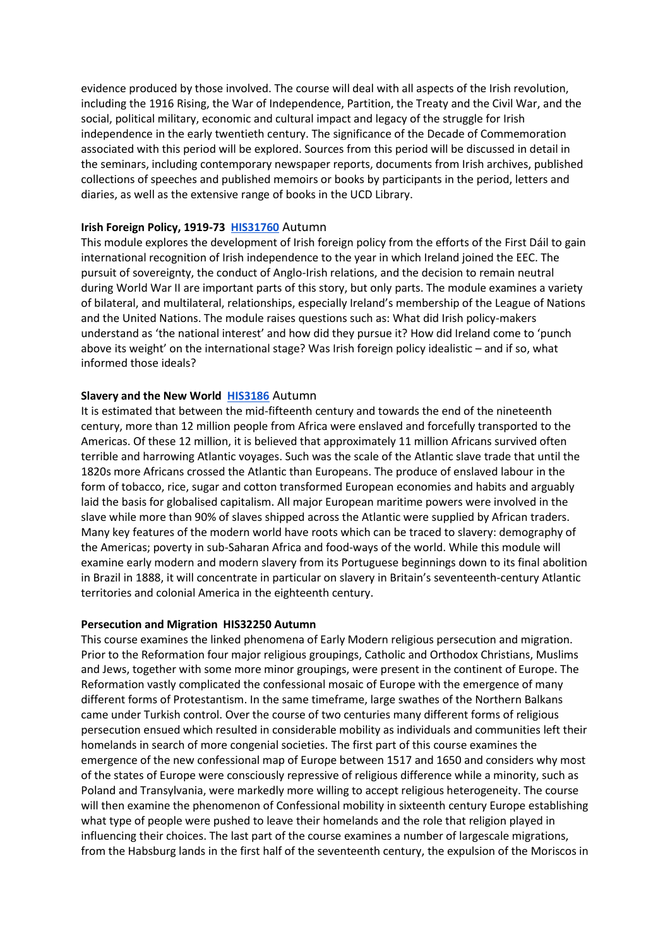evidence produced by those involved. The course will deal with all aspects of the Irish revolution, including the 1916 Rising, the War of Independence, Partition, the Treaty and the Civil War, and the social, political military, economic and cultural impact and legacy of the struggle for Irish independence in the early twentieth century. The significance of the Decade of Commemoration associated with this period will be explored. Sources from this period will be discussed in detail in the seminars, including contemporary newspaper reports, documents from Irish archives, published collections of speeches and published memoirs or books by participants in the period, letters and diaries, as well as the extensive range of books in the UCD Library.

#### **Irish Foreign Policy, 1919-73 [HIS31760](https://hub.ucd.ie/usis/W_HU_REPORTING.P_DISPLAY_REPORT?p_report=ME200&p_parameters=6F7FE4B89EF8F42B42A2F024123B513812C2246A0348C3724335A895ACC0D683230720BD017689ABE788A6EFD2994B603F39776F994F0A6B9D8CBB5940872F666474AAC041A534311AA571A3DBF27E30CB6BA1197797C7C183A36A50242075C883576DEBB9F9750773F6AE87C9FF4F1DC09F6837BA520B3DEAA3DACCA9DC6E326FAE8ADB5345BF7A11218D0D343FF9EE5F8B46D6CD5FD67F951901E5DBBEE794284B5BF0ACE2BF927C340EF2BA0CC53B1DEA014BA47DFD09980CC8AB3600B096CCC353499BE20F8522AE04CB1008C8BAAE75C3E0C2736B79BDC6487CD9FBE8ACFF8AEE253B4888E816639E73913A87218E65088848EC82E291B14E351140CD200A06A301D50463D68B38AD38CD3F57D4F7F62D23F148B5F70AA6903E14A08333ED14356F0399A3E824ABD57FE2A8D72458D59ED1AED8EF5D5CC957D70E679E6185BBBFFD498678858965687FE4AD920F907BC86CBF399F56413E3FB42203B7C1EA70294EF057C91F7549C5F754DD9F47376BF96A3AFF4B70F09074A05577D02EE88454CEEB2CBCF504BB14EC790B8AA4EB813D6DB7E06F64E961C0F9869F274B69129DBB1BA3DCC78AF851096D4555BFB4107C4DB044E0C359B8AC8B17FF3CF20A9E5EF89939D5BD5D30E83D9357194766A5847914401497F5BEE32D564D955AAC232B45CCF4463573BD07FE8521DDE6814C0FD08821480D97B51F6B009938A0EA93623B2A302D0DF8A29E185DA26942CD29F2784446CC0B7B208C5A6FD54F47C9A4A765635B0A0D0913FD8E7B293946E5BD71CDB78ADFE8FA25479A273B45F308416CFB0B9EAB6A158BB792687880DC046257F7289349247066FBDDF55AF5F87BD79539CCC6794C1829C5F224C16B28614039210C240970C41E80C4E0BAE3A43498C41E70AC4B5CE8E9C1DFD06356CE)** Autumn

This module explores the development of Irish foreign policy from the efforts of the First Dáil to gain international recognition of Irish independence to the year in which Ireland joined the EEC. The pursuit of sovereignty, the conduct of Anglo-Irish relations, and the decision to remain neutral during World War II are important parts of this story, but only parts. The module examines a variety of bilateral, and multilateral, relationships, especially Ireland's membership of the League of Nations and the United Nations. The module raises questions such as: What did Irish policy-makers understand as 'the national interest' and how did they pursue it? How did Ireland come to 'punch above its weight' on the international stage? Was Irish foreign policy idealistic – and if so, what informed those ideals?

#### **Slavery and the New World [HIS3186](https://hub.ucd.ie/usis/W_HU_REPORTING.P_DISPLAY_REPORT?p_report=ME200&p_parameters=6F7FE4B89EF8F42B42A2F024123B513812C2246A0348C3724335A895ACC0D683230720BD017689ABE788A6EFD2994B603F39776F994F0A6B9D8CBB5940872F666474AAC041A534311AA571A3DBF27E30CB6BA1197797C7C183A36A50242075C883576DEBB9F9750773F6AE87C9FF4F1DC09F6837BA520B3DEAA3DACCA9DC6E326FAE8ADB5345BF7A11218D0D343FF9EEE879280CE6B552D9C4DB90CEF384EC6F45AAC4708C5BD4F14B353F6D28189EC2036FF32AF07136950B3E8D58DAB264814E450413E6813972568F90E53EEEE1A258A2947E951A597F66147BCF318B8350ECF14BEC3EE32BA4D6FEE3AB42663437AC47B75B65CDBB3D3C31A81B458A243CB45B6021BB6703D2E2B6BF6C1525F3D00A81FE26C12B6B826160C47A44F1B3FF36F865DB0E98E082DD0D0EFBEC4A508C67A9A83F571BD97ED8547890D2350568360E1711B0812E3BBD848F5D49136F1B7FA4CCC348E3A43972D06A753E3891A4549C1389150CD8DC7DF9EF8FD26C948777F087EEF4AA5E9DC51944C5EFB31D5D41CCEFBB82397116C4BA2A45B8C1B82C089BBCD5D228EE5F11FA66D7CC26D141A3CBA8141C627C9E7809C805246D0695C14D44B68292D43DC88E05ED501A52F6027BB2FFC90BFF3EF8D426609BCDCA4950B414CCE7E63173102963A715B9707E9100FDF676B43ACAEC9D585C9F019C53AF9D7E24F13792D5A0473C21869421D3958AF4E7D0A20F66D2028ACF6CB7DA0A94D3ECB6ABD73535C3593B3E6D5ABC53C6323CE01CD710E9E1FFD7B53EF27118D17341D53ABE326B931B12C5822ACF64108C7CE247F2713C05EDF9744361619E5F4E479FC475F7ACAEA414E638C262197D69C9D29097FDA973C892CBACDC998023C282AFC9C072D9A17A9FF03D975E26B62ACCBC59B152EC16987CAD2B73044C)** Autumn

It is estimated that between the mid-fifteenth century and towards the end of the nineteenth century, more than 12 million people from Africa were enslaved and forcefully transported to the Americas. Of these 12 million, it is believed that approximately 11 million Africans survived often terrible and harrowing Atlantic voyages. Such was the scale of the Atlantic slave trade that until the 1820s more Africans crossed the Atlantic than Europeans. The produce of enslaved labour in the form of tobacco, rice, sugar and cotton transformed European economies and habits and arguably laid the basis for globalised capitalism. All major European maritime powers were involved in the slave while more than 90% of slaves shipped across the Atlantic were supplied by African traders. Many key features of the modern world have roots which can be traced to slavery: demography of the Americas; poverty in sub-Saharan Africa and food-ways of the world. While this module will examine early modern and modern slavery from its Portuguese beginnings down to its final abolition in Brazil in 1888, it will concentrate in particular on slavery in Britain's seventeenth-century Atlantic territories and colonial America in the eighteenth century.

#### **Persecution and Migration HIS32250 Autumn**

This course examines the linked phenomena of Early Modern religious persecution and migration. Prior to the Reformation four major religious groupings, Catholic and Orthodox Christians, Muslims and Jews, together with some more minor groupings, were present in the continent of Europe. The Reformation vastly complicated the confessional mosaic of Europe with the emergence of many different forms of Protestantism. In the same timeframe, large swathes of the Northern Balkans came under Turkish control. Over the course of two centuries many different forms of religious persecution ensued which resulted in considerable mobility as individuals and communities left their homelands in search of more congenial societies. The first part of this course examines the emergence of the new confessional map of Europe between 1517 and 1650 and considers why most of the states of Europe were consciously repressive of religious difference while a minority, such as Poland and Transylvania, were markedly more willing to accept religious heterogeneity. The course will then examine the phenomenon of Confessional mobility in sixteenth century Europe establishing what type of people were pushed to leave their homelands and the role that religion played in influencing their choices. The last part of the course examines a number of largescale migrations, from the Habsburg lands in the first half of the seventeenth century, the expulsion of the Moriscos in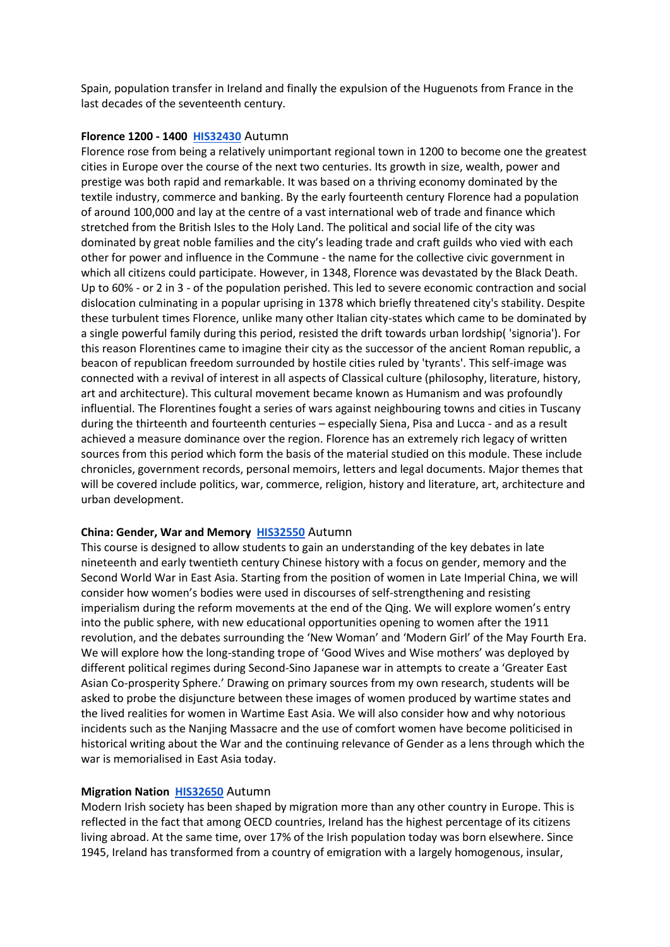Spain, population transfer in Ireland and finally the expulsion of the Huguenots from France in the last decades of the seventeenth century.

#### **Florence 1200 - 1400 [HIS32430](https://hub.ucd.ie/usis/W_HU_REPORTING.P_DISPLAY_REPORT?p_report=ME200&p_parameters=6F7FE4B89EF8F42B42A2F024123B513812C2246A0348C3724335A895ACC0D683230720BD017689ABE788A6EFD2994B603F39776F994F0A6B9D8CBB5940872F666474AAC041A534311AA571A3DBF27E30CB6BA1197797C7C183A36A50242075C883576DEBB9F9750773F6AE87C9FF4F1DC09F6837BA520B3DEAA3DACCA9DC6E326FAE8ADB5345BF7A11218D0D343FF9EEA95313FADB123D41CEBDA5E7EC6B6655CE6CE8E1FEF721901217144C0E64A7EA12B433B3EC48590B9EA463BF0774404ED1CDB32BAD1E1790BF1865639F2B2CF6EA7EE01FE7B1C92286A170C90531E235416B48F1C4921DA1AF7F5263B2D8E2E8E8997D8FD40AD49ADB67BCD833DFD3E9C3ED2E0174330C2468F45E112390CA29CFF881C40E9CF98EFFD1518DFB31965B8BFDB6FE4DA27421407D5FD6012958C33B849F84730A3228B03D1C7402C34CB1F4C73D879127CFD0F6BF1B2DCB3B17795C32DB7B5EC4ABAAC984B33154C170891BD25E3995F8C3D39065B453CD12A8F037E3672F0CF654CA28EB6C9B6245889FA1A57310C72301FAE606332F284D78BA586DD931650D33088C3D3A789E756B0ACC446A410CF07207FCF57D44A7B2A0C23F728F04226A64A001F209EE82FBEB67291D9C2C5667746278D2D1C73856E016AF787D5FCA10DE843775D5B4FE9021E56959625DD422704FF7E0F830DE75EA275CC395145752641220E90F8A50D5A1FC4ACC88EAD8EC4E701ED9FD78304580D253B5C5A1A4FA860107FFDC02176F3AF417745B84CCDBC0FFF98C3CAEC77C9C66A1215414873E653D47D722B088B68D1CB763190B1803291DAB5244D56DB823085583A7C456EB1A8A3A767B5B949128C585C745947897FE4B9FA740E485B30ECD2DF11E6C1E0CC06DE1C7B46E14A8F29B856792CEE8C0757D89065B954F751228)** Autumn

Florence rose from being a relatively unimportant regional town in 1200 to become one the greatest cities in Europe over the course of the next two centuries. Its growth in size, wealth, power and prestige was both rapid and remarkable. It was based on a thriving economy dominated by the textile industry, commerce and banking. By the early fourteenth century Florence had a population of around 100,000 and lay at the centre of a vast international web of trade and finance which stretched from the British Isles to the Holy Land. The political and social life of the city was dominated by great noble families and the city's leading trade and craft guilds who vied with each other for power and influence in the Commune - the name for the collective civic government in which all citizens could participate. However, in 1348, Florence was devastated by the Black Death. Up to 60% - or 2 in 3 - of the population perished. This led to severe economic contraction and social dislocation culminating in a popular uprising in 1378 which briefly threatened city's stability. Despite these turbulent times Florence, unlike many other Italian city-states which came to be dominated by a single powerful family during this period, resisted the drift towards urban lordship( 'signoria'). For this reason Florentines came to imagine their city as the successor of the ancient Roman republic, a beacon of republican freedom surrounded by hostile cities ruled by 'tyrants'. This self-image was connected with a revival of interest in all aspects of Classical culture (philosophy, literature, history, art and architecture). This cultural movement became known as Humanism and was profoundly influential. The Florentines fought a series of wars against neighbouring towns and cities in Tuscany during the thirteenth and fourteenth centuries – especially Siena, Pisa and Lucca - and as a result achieved a measure dominance over the region. Florence has an extremely rich legacy of written sources from this period which form the basis of the material studied on this module. These include chronicles, government records, personal memoirs, letters and legal documents. Major themes that will be covered include politics, war, commerce, religion, history and literature, art, architecture and urban development.

# **China: Gender, War and Memory [HIS32550](https://hub.ucd.ie/usis/W_HU_REPORTING.P_DISPLAY_REPORT?p_report=ME200&p_parameters=6F7FE4B89EF8F42B42A2F024123B513812C2246A0348C3724335A895ACC0D683230720BD017689ABE788A6EFD2994B603F39776F994F0A6B9D8CBB5940872F666474AAC041A534311AA571A3DBF27E30CB6BA1197797C7C183A36A50242075C883576DEBB9F9750773F6AE87C9FF4F1DC09F6837BA520B3DEAA3DACCA9DC6E326FAE8ADB5345BF7A11218D0D343FF9EE795818E1F1CA5461A168F823DAE191672C1DAABF5E242C873829DD34D7D6C5D84B5DA58A36F83F1E91F4380DB3C79B974216B729FD3461C4381556A704086AB5A73712B8F4F5B84137ED14EB192C2119435EB225EB83C26876A846E8C8E3E215C781EAF6F398C38BEA0D85D3E877691CD968BC11C10B60283BBD61F3E94B5E8F3A27AEB4F7F8748700877EED450766AE953F5C6DEAAFA5C3F01B0140970D68D0CFD4EC8C6C1ECD0447FFB71D0C17325895CD5ED3C022F40C5430805FF107D18390DA50217CE9AB282CD037CDCCC82C399FB0FAFBD8548F9F705ECEDC41AFDFE50CDFF5F8DF93C3C90B4A5CBD8DC7DA3A1CA4085B6A9FCEF9F91F22BED372F85C0D7E7854C8D08C55CAEA475719EC27BB34DA2D3CFE2F88B98C4C655B0390F3FD5CA0214E1B6D4ACBCA4879BFABEC1BB153C11D67ABE05AAB397E76E83704641011805FCDCF26EB8702F85EC05CA168A638890E4D586F6E6ABD8B2D34F3B997F48D31683EB018C9B04EB01681AB37D7DA547A1EE45D458F4D9A6105E7CB41EE173220255EBFB7229F12BA7C38F4960E0165AB7FB298ED1200C71330FE02A286A6D1FB8D51A1DE66249AD1B5516714E86D597DD5714827F82F017F570B20C888DBC474BAE3013496092FA73EDD13786A2E8B926774359C24266B64E2943883D9F863ABC5DB408A240C3ACDD932FBE3409B230E5DFF4F79CEB596D12109B3A58B2D)** Autumn

This course is designed to allow students to gain an understanding of the key debates in late nineteenth and early twentieth century Chinese history with a focus on gender, memory and the Second World War in East Asia. Starting from the position of women in Late Imperial China, we will consider how women's bodies were used in discourses of self-strengthening and resisting imperialism during the reform movements at the end of the Qing. We will explore women's entry into the public sphere, with new educational opportunities opening to women after the 1911 revolution, and the debates surrounding the 'New Woman' and 'Modern Girl' of the May Fourth Era. We will explore how the long-standing trope of 'Good Wives and Wise mothers' was deployed by different political regimes during Second-Sino Japanese war in attempts to create a 'Greater East Asian Co-prosperity Sphere.' Drawing on primary sources from my own research, students will be asked to probe the disjuncture between these images of women produced by wartime states and the lived realities for women in Wartime East Asia. We will also consider how and why notorious incidents such as the Nanjing Massacre and the use of comfort women have become politicised in historical writing about the War and the continuing relevance of Gender as a lens through which the war is memorialised in East Asia today.

#### **Migration Nation [HIS32650](https://hub.ucd.ie/usis/W_HU_REPORTING.P_DISPLAY_REPORT?p_report=ME200&p_parameters=6F7FE4B89EF8F42B42A2F024123B513812C2246A0348C3724335A895ACC0D683230720BD017689ABE788A6EFD2994B603F39776F994F0A6B9D8CBB5940872F666474AAC041A534311AA571A3DBF27E30CB6BA1197797C7C183A36A50242075C883576DEBB9F9750773F6AE87C9FF4F1DC09F6837BA520B3DEAA3DACCA9DC6E326FAE8ADB5345BF7A11218D0D343FF9EE3EB30D860B38DEBE015AA4B56A0CEDF32EF1C82CFCB3DC499F012FAB44587875348358F47329DCAC704FA916718AED3D94046FA17644967E3320FE400D25B9CA88C645855E6837CA825A1F4E4C0EEC22E8350AD598571E34B0EF77FB4E2C1F57AE15CAC272FAE3CEFA2529DCA70981031DECC2270FF2D31603E5F433937EB63765DAD81EBB20B6987FC2FE44D5D451EACFCD39099C160626C0829ED42612F063D30CF486EE1B403943606F14D8E639C3F18A7655F8D34BF352FC5506678C6BAD697D0CE5985EF506253D0BE46320F64053626A831907300825979D70F363E2512D0F3449F734B35D9B950FDE41969FD908E487D6994EA823D72258B0959E802FE1E2EB8520CF2C3263DB87BDDA757C0F1113A786C39B2067A533F97745631E33FF1E811EDC2C4181D73F47BCDB6409759B0D286D2EAA452A4C55A3996A955F361AB83C7E73C54F1A24FE0A3D0F7C5E66C6A5E65E185277C476F977010200010FD6658C6C4A48D18765ED38E15E077309D752418FD53A117275EDB3C6F0F41CAE10CF671C316CD64474292CCA0AB00A5798F50158C1D1282823632FFD669E2B3BCE6C1071B29D52FAA27A620D9611591F686777CEF3666659586B8BD80937A9BE2D4F4109D0325C0E3BA43FC3C83DDF1A339D9D0D2C629CADFC44AB2D22D34A24CADE4A4B1D53AD31167440FD6CF377E8)** Autumn

Modern Irish society has been shaped by migration more than any other country in Europe. This is reflected in the fact that among OECD countries, Ireland has the highest percentage of its citizens living abroad. At the same time, over 17% of the Irish population today was born elsewhere. Since 1945, Ireland has transformed from a country of emigration with a largely homogenous, insular,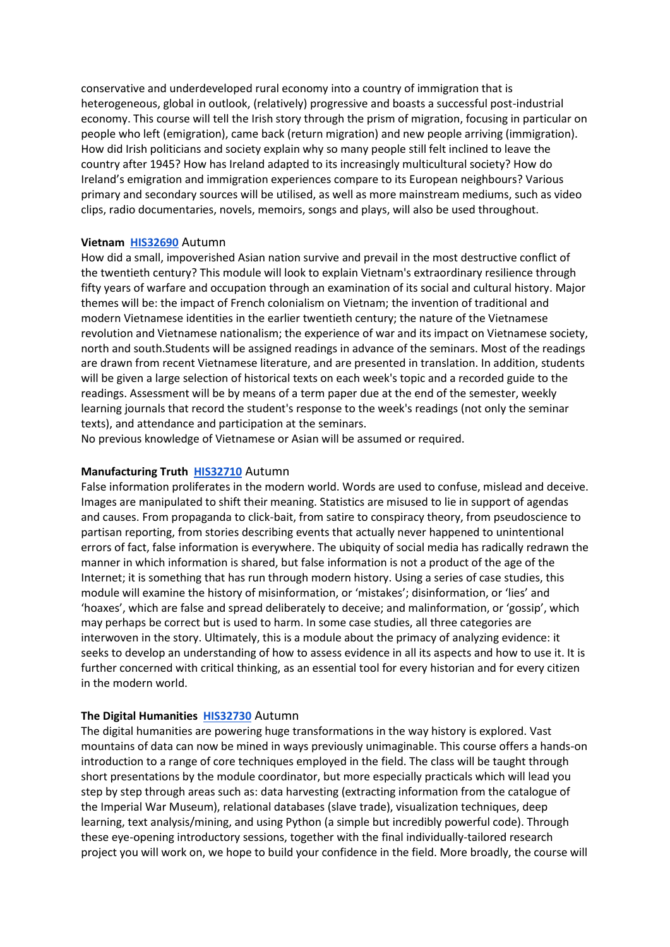conservative and underdeveloped rural economy into a country of immigration that is heterogeneous, global in outlook, (relatively) progressive and boasts a successful post-industrial economy. This course will tell the Irish story through the prism of migration, focusing in particular on people who left (emigration), came back (return migration) and new people arriving (immigration). How did Irish politicians and society explain why so many people still felt inclined to leave the country after 1945? How has Ireland adapted to its increasingly multicultural society? How do Ireland's emigration and immigration experiences compare to its European neighbours? Various primary and secondary sources will be utilised, as well as more mainstream mediums, such as video clips, radio documentaries, novels, memoirs, songs and plays, will also be used throughout.

#### **Vietnam [HIS32690](https://hub.ucd.ie/usis/W_HU_REPORTING.P_DISPLAY_REPORT?p_report=ME200&p_parameters=6F7FE4B89EF8F42B42A2F024123B513812C2246A0348C3724335A895ACC0D683230720BD017689ABE788A6EFD2994B603F39776F994F0A6B9D8CBB5940872F666474AAC041A534311AA571A3DBF27E30CB6BA1197797C7C183A36A50242075C883576DEBB9F9750773F6AE87C9FF4F1DC09F6837BA520B3DEAA3DACCA9DC6E326FAE8ADB5345BF7A11218D0D343FF9EE209DF0B9E1A79294BE4536432148CA525C806389F61B91C12D103459BA5C9FC5E76FD0E5824E104D058F46DDCD9B3E5E581960F8A4D8E92362B0EF07902E9BFE1705C30EC7018F4FF2A5C4D20E3129B6B3226F97D504EE320E2968BB87BE66147ADCD9094EC3AE3AA301EB883F5C0DA51B83930CDB7D32B0024D9E758604E74FDC9D624E4F593B3040BC29928888810C9872814901E396088BED82166A996E905E53DEB06BDEBC40D00190F7D48A38E68C90EC593FA8A09A0D6004A39B5BB2C13E0F797A653EB3E3E3D6B687DB7ADE1D0F80C4B41A11296512083DF9405082054293C10027F1AF52CE9F9EEABAF70DFDA4A7C2D0D80DF1029BA3F02502C8B3841D7F789108C07FDBCD9C37719391FE4DCA1060700CDDC6D3C669EC74D924230595EBD10B68678E83C610DEEC054DDD5DCC6846A97B0900DCB689932ABE02DE057D429C60DDDBD50C1DF85B3B1277D0B2FF34A17009AFEDBADAA4F066416E6A05F88F6AB5A075AAE9E1027EF403BB4467603A70A72BC57E3F5D47690803DD1CFE5C5BAFE3B0A24A9A77837E0FB60277CD56A5CDCBAC618134E48A5263705641AB2598D37D7837AA439A3F92743F4EFE256A1246682BF224C111AB119BB397F707ECEB192230FA29D62E065C285FB0921C0E215563A836FBC40056365A91CC53622D991F8B965C99B01F727B2F5A04CC9F)** Autumn

How did a small, impoverished Asian nation survive and prevail in the most destructive conflict of the twentieth century? This module will look to explain Vietnam's extraordinary resilience through fifty years of warfare and occupation through an examination of its social and cultural history. Major themes will be: the impact of French colonialism on Vietnam; the invention of traditional and modern Vietnamese identities in the earlier twentieth century; the nature of the Vietnamese revolution and Vietnamese nationalism; the experience of war and its impact on Vietnamese society, north and south.Students will be assigned readings in advance of the seminars. Most of the readings are drawn from recent Vietnamese literature, and are presented in translation. In addition, students will be given a large selection of historical texts on each week's topic and a recorded guide to the readings. Assessment will be by means of a term paper due at the end of the semester, weekly learning journals that record the student's response to the week's readings (not only the seminar texts), and attendance and participation at the seminars.

No previous knowledge of Vietnamese or Asian will be assumed or required.

#### **Manufacturing Truth [HIS32710](https://hub.ucd.ie/usis/W_HU_REPORTING.P_DISPLAY_REPORT?p_report=ME200&p_parameters=6F7FE4B89EF8F42B42A2F024123B513812C2246A0348C3724335A895ACC0D683230720BD017689ABE788A6EFD2994B603F39776F994F0A6B9D8CBB5940872F666474AAC041A534311AA571A3DBF27E30CB6BA1197797C7C183A36A50242075C883576DEBB9F9750773F6AE87C9FF4F1DC09F6837BA520B3DEAA3DACCA9DC6E326FAE8ADB5345BF7A11218D0D343FF9EE77D555594ABC61227E6D6C24E270E17B30405EFCDC786B821548395BA812E538D9DD151D8D36D2E6DF787BCB9622A88A7ACE8DC7B41E7D8C817FF64469ED9520AC841EA88F3B34BA5167A57ABD349BFA71907125EA5BCC183356260824E508D6361FEBF2755E382A89C747522913476BC67ABF5F50D39D31CC4717687EB3785D7079D456746207DE8950AE6529742531F79A32B9893C4746BFCA89596E25F9739DE483273F4FBD111AE744A3B6F3337446F2144D96F1DB116BBB47DCB246F438486062D4941ECD0479730262963A1ABAB17BCAFA3C234B04F4AE45B219A996F61445290871F213AABB42198E5E53C0BCEEA21417AEB9A0F2A64981CD750FA15078DF12A2CD3E73153EF1CD68649260409AF0FA0A6756D32D01AEBE02ABD36BF72F583A42EF6E4909238BCA7515F1E58DDAC6ED2651C9E5B9141752867E078A1C258CA430AD35941BF4E6751662C6C4E70FF86B8FA891F0C9B2B02D0D0ECBD96DE6EE6F7830129F1142259D9B11C4DBECFC439971A91FD27F87FDB620CE464DFFBBB21176D1F8738AB3D62C3D64AFD6C79613387C0ED3654EC38E38D3A2EE5C19F4DD35A86206C5849D60C148CD487D816EB01647A30B1C085887361A0FF8AF582736D01B368BF8E49967BAC148A25544CBD33E35CBFC0ADE853CE32C1E98338086DAA73C51CAB47EF46D693DC9B58B4198C5850F297AC708C6E37897987CAC55)** Autumn

False information proliferates in the modern world. Words are used to confuse, mislead and deceive. Images are manipulated to shift their meaning. Statistics are misused to lie in support of agendas and causes. From propaganda to click-bait, from satire to conspiracy theory, from pseudoscience to partisan reporting, from stories describing events that actually never happened to unintentional errors of fact, false information is everywhere. The ubiquity of social media has radically redrawn the manner in which information is shared, but false information is not a product of the age of the Internet; it is something that has run through modern history. Using a series of case studies, this module will examine the history of misinformation, or 'mistakes'; disinformation, or 'lies' and 'hoaxes', which are false and spread deliberately to deceive; and malinformation, or 'gossip', which may perhaps be correct but is used to harm. In some case studies, all three categories are interwoven in the story. Ultimately, this is a module about the primacy of analyzing evidence: it seeks to develop an understanding of how to assess evidence in all its aspects and how to use it. It is further concerned with critical thinking, as an essential tool for every historian and for every citizen in the modern world.

#### **The Digital Humanities [HIS32730](https://hub.ucd.ie/usis/W_HU_REPORTING.P_DISPLAY_REPORT?p_report=ME200&p_parameters=6F7FE4B89EF8F42B42A2F024123B513812C2246A0348C3724335A895ACC0D683230720BD017689ABE788A6EFD2994B603F39776F994F0A6B9D8CBB5940872F666474AAC041A534311AA571A3DBF27E30CB6BA1197797C7C183A36A50242075C883576DEBB9F9750773F6AE87C9FF4F1DC09F6837BA520B3DEAA3DACCA9DC6E326FAE8ADB5345BF7A11218D0D343FF9EEA9BAAB0493E5A67350147E210556AE2E800E48AA278B96BAE2525CA4D6F561FB4432AAF7649C44156FEC3FAA0C2FFF3464309578D8AEFD9DA0C7E83C3BF4BEF61E2FF7D9297170615EE86C2DAFC45D3945268ACB74E0F93140CCC4DCE084D86D2214438245E36F3F66A0AB347B3229F50EE4BE73BF26A4021A24297EB3D760BA6EECF260A559B5D3F8A7455D0946AFCCEE57677EB3E3F27C64F7E49FAE2F6E20AF231DB15285A0106BED6200527E4E4C82B268586C77305E0EDE25D96D7EDB5DCE40BB662E136BFF1C53DD9BAEF2388890092B77D50E52E68E728E108FF5F93E6EEFBFA242384BEBDB650B37CD6546291E2BA50D6C45351621D082711C2DC44911FD28EFCBE68DD7E92B71C9C48111B128418A82F481E8B656AC5E2B725B0DAF5EB55F204CA3C0444B4ABB25BC346A1FDDF354CC1F4784800725A5633919A9F4E8178D98CE15B4CD572802A310804186E0CDF69DA9C745BCE6C106A328EB95C4AFA6BFB109B8B143ED6821AFC68AD7AD32D83B06DC11901741F6F4F0C34FFF05A52260CC83A3E13ABF461502FC98C6EFBFB7638C51D1BE57824CA84CC25D6A648453107769FA855FB72247859C8A85798E24D6D5FC5C45306E6196100F7B5443EEC4D5A3E3762E9E2A532AE81F7E1113FF24CEA88D1C3F5EE39E29D4F419FAF89558CB9089C9B1765412B0EECCF112BFEF998481B44F6941BC15D91248A7B1FB)** Autumn

The digital humanities are powering huge transformations in the way history is explored. Vast mountains of data can now be mined in ways previously unimaginable. This course offers a hands-on introduction to a range of core techniques employed in the field. The class will be taught through short presentations by the module coordinator, but more especially practicals which will lead you step by step through areas such as: data harvesting (extracting information from the catalogue of the Imperial War Museum), relational databases (slave trade), visualization techniques, deep learning, text analysis/mining, and using Python (a simple but incredibly powerful code). Through these eye-opening introductory sessions, together with the final individually-tailored research project you will work on, we hope to build your confidence in the field. More broadly, the course will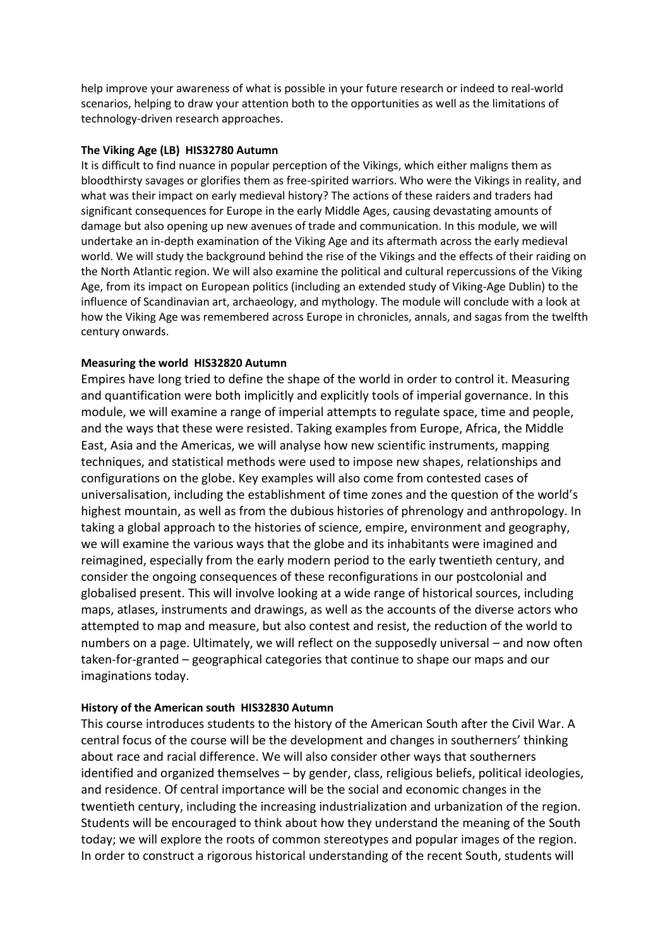help improve your awareness of what is possible in your future research or indeed to real-world scenarios, helping to draw your attention both to the opportunities as well as the limitations of technology-driven research approaches.

# **The Viking Age (LB) HIS32780 Autumn**

It is difficult to find nuance in popular perception of the Vikings, which either maligns them as bloodthirsty savages or glorifies them as free-spirited warriors. Who were the Vikings in reality, and what was their impact on early medieval history? The actions of these raiders and traders had significant consequences for Europe in the early Middle Ages, causing devastating amounts of damage but also opening up new avenues of trade and communication. In this module, we will undertake an in-depth examination of the Viking Age and its aftermath across the early medieval world. We will study the background behind the rise of the Vikings and the effects of their raiding on the North Atlantic region. We will also examine the political and cultural repercussions of the Viking Age, from its impact on European politics (including an extended study of Viking-Age Dublin) to the influence of Scandinavian art, archaeology, and mythology. The module will conclude with a look at how the Viking Age was remembered across Europe in chronicles, annals, and sagas from the twelfth century onwards.

# **Measuring the world HIS32820 Autumn**

Empires have long tried to define the shape of the world in order to control it. Measuring and quantification were both implicitly and explicitly tools of imperial governance. In this module, we will examine a range of imperial attempts to regulate space, time and people, and the ways that these were resisted. Taking examples from Europe, Africa, the Middle East, Asia and the Americas, we will analyse how new scientific instruments, mapping techniques, and statistical methods were used to impose new shapes, relationships and configurations on the globe. Key examples will also come from contested cases of universalisation, including the establishment of time zones and the question of the world's highest mountain, as well as from the dubious histories of phrenology and anthropology. In taking a global approach to the histories of science, empire, environment and geography, we will examine the various ways that the globe and its inhabitants were imagined and reimagined, especially from the early modern period to the early twentieth century, and consider the ongoing consequences of these reconfigurations in our postcolonial and globalised present. This will involve looking at a wide range of historical sources, including maps, atlases, instruments and drawings, as well as the accounts of the diverse actors who attempted to map and measure, but also contest and resist, the reduction of the world to numbers on a page. Ultimately, we will reflect on the supposedly universal – and now often taken-for-granted – geographical categories that continue to shape our maps and our imaginations today.

# **History of the American south HIS32830 Autumn**

This course introduces students to the history of the American South after the Civil War. A central focus of the course will be the development and changes in southerners' thinking about race and racial difference. We will also consider other ways that southerners identified and organized themselves – by gender, class, religious beliefs, political ideologies, and residence. Of central importance will be the social and economic changes in the twentieth century, including the increasing industrialization and urbanization of the region. Students will be encouraged to think about how they understand the meaning of the South today; we will explore the roots of common stereotypes and popular images of the region. In order to construct a rigorous historical understanding of the recent South, students will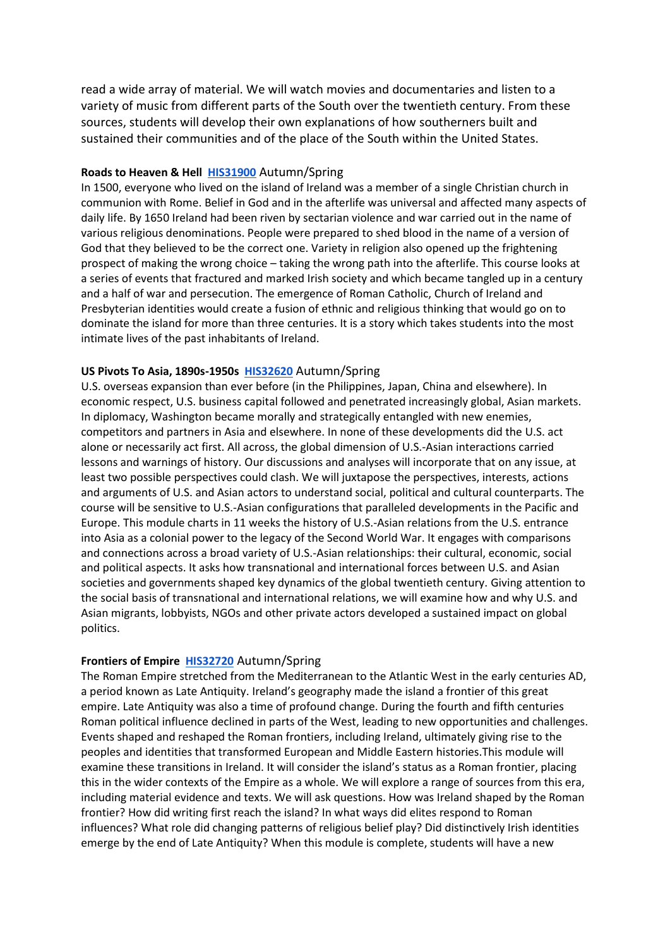read a wide array of material. We will watch movies and documentaries and listen to a variety of music from different parts of the South over the twentieth century. From these sources, students will develop their own explanations of how southerners built and sustained their communities and of the place of the South within the United States.

#### **Roads to Heaven & Hell [HIS31900](https://hub.ucd.ie/usis/W_HU_REPORTING.P_DISPLAY_REPORT?p_report=ME200&p_parameters=6F7FE4B89EF8F42B42A2F024123B513812C2246A0348C3724335A895ACC0D683230720BD017689ABE788A6EFD2994B603F39776F994F0A6B9D8CBB5940872F666474AAC041A534311AA571A3DBF27E30CB6BA1197797C7C183A36A50242075C883576DEBB9F9750773F6AE87C9FF4F1DC09F6837BA520B3DEAA3DACCA9DC6E326FAE8ADB5345BF7A11218D0D343FF9EE600DD66CE0A3390C6EBC41546482950A90F1B5186025F73E2048DAC0F2CB3988BC16D9AA17C740383AC4062BD657CF1712904AE116D3DDF1E95E1524752C883725FC76135ED03156BC4698122678E91CF5376066BF2C87CBC0E2022BD23F71DC26E57F82CD59A80E79DECAB8C3FD4B1A07C5C42632341F2E674DE6B6923030F3DF75A068834905007DE78D1692023ED6250212A3C23EA10D99A43A943EE3B57ACF1ED91E49061C37DD9AA8F8FC630490BAAE92C0871C2CDB748F3A140F6AE328A796AD849A9B03D39DD93299C2613660D63D989B7C8B677BDCC4AE7B5C5A542A978A41452303DDBC7923081B94117DE8A4540A985FCF92539F51BAB8DC672B6A15EFC899ED0890EA64C81D89154DB30FC53E32696F7D280296A163DCB5DD8EFB68C98A85E8A7A380D4DF9AF270370146B1F8EECA35A6701758E363AD56E91E1B0F517E9F636B3E4B0229C56F93684A01F460BD0A2C21CEF828CC34DD900698A86F4C4CBA33F4A9FF62FBEFD06BF41C2C0A2C76EB536C6B627DB58896CE9A2D55F7DB2E8D95156BBAFA822D1A16FFBDE96A7437BB89BF16176125BED9F12BA1BB6CBA9A34CE042279847F710F4CD9AA3E3EB83E02F7126610D02D1E68987EBC1D2951903EF4741F02925259B05AA747793DCC45F07E33C96E67B994E24566B63D07FE6CFDFDEB46C8D3C75E0B5E155BD2D5FC0C4B63993D096F6823C556F1426A)** Autumn/Spring

In 1500, everyone who lived on the island of Ireland was a member of a single Christian church in communion with Rome. Belief in God and in the afterlife was universal and affected many aspects of daily life. By 1650 Ireland had been riven by sectarian violence and war carried out in the name of various religious denominations. People were prepared to shed blood in the name of a version of God that they believed to be the correct one. Variety in religion also opened up the frightening prospect of making the wrong choice – taking the wrong path into the afterlife. This course looks at a series of events that fractured and marked Irish society and which became tangled up in a century and a half of war and persecution. The emergence of Roman Catholic, Church of Ireland and Presbyterian identities would create a fusion of ethnic and religious thinking that would go on to dominate the island for more than three centuries. It is a story which takes students into the most intimate lives of the past inhabitants of Ireland.

#### **US Pivots To Asia, 1890s-1950s [HIS32620](https://hub.ucd.ie/usis/W_HU_REPORTING.P_DISPLAY_REPORT?p_report=ME200&p_parameters=6F7FE4B89EF8F42B42A2F024123B513812C2246A0348C3724335A895ACC0D683230720BD017689ABE788A6EFD2994B603F39776F994F0A6B9D8CBB5940872F666474AAC041A534311AA571A3DBF27E30CB6BA1197797C7C183A36A50242075C883576DEBB9F9750773F6AE87C9FF4F1DC09F6837BA520B3DEAA3DACCA9DC6E326FAE8ADB5345BF7A11218D0D343FF9EED731F12C17003B52A6B25AD0C2E74FBBC1ED3F3A017822819B7BE00BD8F3CB93DCF4AF682CD1F757E7E2059864F93B92465E615B47417756F7897CDCB89C5A27E672F6BE54548A95316D21DFB9F79DBD80C3025D439BD039EC77C4C47E2291B4536A7FEDD67953DE670AD790A7B7C747E6165FAB7FA19ED2302C448D47840CFE050A549DE4A2E99871054641138ABEA4F9FF06AB7E4DD95D22578BC534E335E0CEF57E8D0300805535DC3C41AAB517012DDA71FB6DF1A9154DD32C1AA9706215DC72A077436DD960838BF148B7E813D7ACC715019AD9643535A03A2ABB4FE1ADB9709145F2DDA0662DAEF0BC8BB028FAA36481BE16571638ABA69C428B4027F0EB7F21C2EE4F2CAEE75F42620A2D186151C7800D5B9456916032DF21B36E3AF7112BF03ECA8B3EB88EC46B8C5769A74DB205E68E32BC074F4F106798E3D874EAFF859CACB7A2FD535439994F6075844BB7D059CBEDF19D9D25C5AF467648C5A40C2B5D1229582F2C9009C9CB662BB88FD62CAA455E04FD32A93AA80B239D420D7D90BE2C0B3F078D5F86EDD86A52E29B3876CB73F488D2F415CC1F47B054276E356E33CE6FEAE2326CB7C88FEA1E511E4D9238A5E94E5D081BF74D5FEEAE424C24A669AE8CC74E295628DD1078B3F5E3C231AC9886AD7F7C17C24CC10C851DF7DE8686BBCA33F0825E1328E86245DDFB6CAF3772D610F6400618EF7290ABB0EC)** Autumn/Spring

U.S. overseas expansion than ever before (in the Philippines, Japan, China and elsewhere). In economic respect, U.S. business capital followed and penetrated increasingly global, Asian markets. In diplomacy, Washington became morally and strategically entangled with new enemies, competitors and partners in Asia and elsewhere. In none of these developments did the U.S. act alone or necessarily act first. All across, the global dimension of U.S.-Asian interactions carried lessons and warnings of history. Our discussions and analyses will incorporate that on any issue, at least two possible perspectives could clash. We will juxtapose the perspectives, interests, actions and arguments of U.S. and Asian actors to understand social, political and cultural counterparts. The course will be sensitive to U.S.-Asian configurations that paralleled developments in the Pacific and Europe. This module charts in 11 weeks the history of U.S.-Asian relations from the U.S. entrance into Asia as a colonial power to the legacy of the Second World War. It engages with comparisons and connections across a broad variety of U.S.-Asian relationships: their cultural, economic, social and political aspects. It asks how transnational and international forces between U.S. and Asian societies and governments shaped key dynamics of the global twentieth century. Giving attention to the social basis of transnational and international relations, we will examine how and why U.S. and Asian migrants, lobbyists, NGOs and other private actors developed a sustained impact on global politics.

# **Frontiers of Empire [HIS32720](https://hub.ucd.ie/usis/W_HU_REPORTING.P_DISPLAY_REPORT?p_report=ME200&p_parameters=6F7FE4B89EF8F42B42A2F024123B513812C2246A0348C3724335A895ACC0D683230720BD017689ABE788A6EFD2994B603F39776F994F0A6B9D8CBB5940872F666474AAC041A534311AA571A3DBF27E30CB6BA1197797C7C183A36A50242075C883576DEBB9F9750773F6AE87C9FF4F1DC09F6837BA520B3DEAA3DACCA9DC6E326FAE8ADB5345BF7A11218D0D343FF9EE46EA51D046C36B6A00A37AAE317467C12672253E277513F29CBA42180F8645F7435A45B28240943D6766CFB97B091A19AF21FB96FDD5E3BDCEA24D0E18315642488EF685058359DB23BE649BAFE30BD7420310724BC0D4CF8102CFFE2BA57B9484D7DC5B3D4DC250E63B1A8F868BFF86C2DB86043D38F7A7B52B669D02A6FF8920A05055602C8D1A362145545ADA76058D1A460E05028BF56E48F563C490E45AE01FCD34CAA949B3BD8C012421FD24E245132D92E7BCB97E457F2D39B24BBCEE61AAACCE5021F275F989F8B9C0C59AAA3278BD02EB1AC49CB069CBE9EBB4683F5A23DDBE540CA86399E31EDF983D63BA158B03DDBF4FF2DCA47725DA6941202A4563FD403602D50D1B278D8D21E1633B664108D4FF2BC0C288787020B65FEE57BDC774BAAD43C8EE74FEF63EC702B9C6F4CC1E4EBF3B9A63DDCE67B3FF631D2315C2A85CECB4C4499243B09354530307263BB497B6C502C975116EB4747A8CB1ED049B6CF4CA28A4A12841E5DABB3DF2ACF0CC539A602C5C8CB1FCF739DAAA20506ABB59886FF2ED07141F06539800C16B021436DD3375C777DC4411EBAFCFD807C787C24D0E9673B0F8DCFFACCCDA8DDE1CA00CB92E1A13F9D7750177ECE68919B4B8D1CB43337D4944A82980470728335307503231ECF3317D71AF38B0683B1FDE4A1AA94C53C3886FCCA89D86E20CBE2348EB77A70261356EE02FFB7F73D9)** Autumn/Spring

The Roman Empire stretched from the Mediterranean to the Atlantic West in the early centuries AD, a period known as Late Antiquity. Ireland's geography made the island a frontier of this great empire. Late Antiquity was also a time of profound change. During the fourth and fifth centuries Roman political influence declined in parts of the West, leading to new opportunities and challenges. Events shaped and reshaped the Roman frontiers, including Ireland, ultimately giving rise to the peoples and identities that transformed European and Middle Eastern histories.This module will examine these transitions in Ireland. It will consider the island's status as a Roman frontier, placing this in the wider contexts of the Empire as a whole. We will explore a range of sources from this era, including material evidence and texts. We will ask questions. How was Ireland shaped by the Roman frontier? How did writing first reach the island? In what ways did elites respond to Roman influences? What role did changing patterns of religious belief play? Did distinctively Irish identities emerge by the end of Late Antiquity? When this module is complete, students will have a new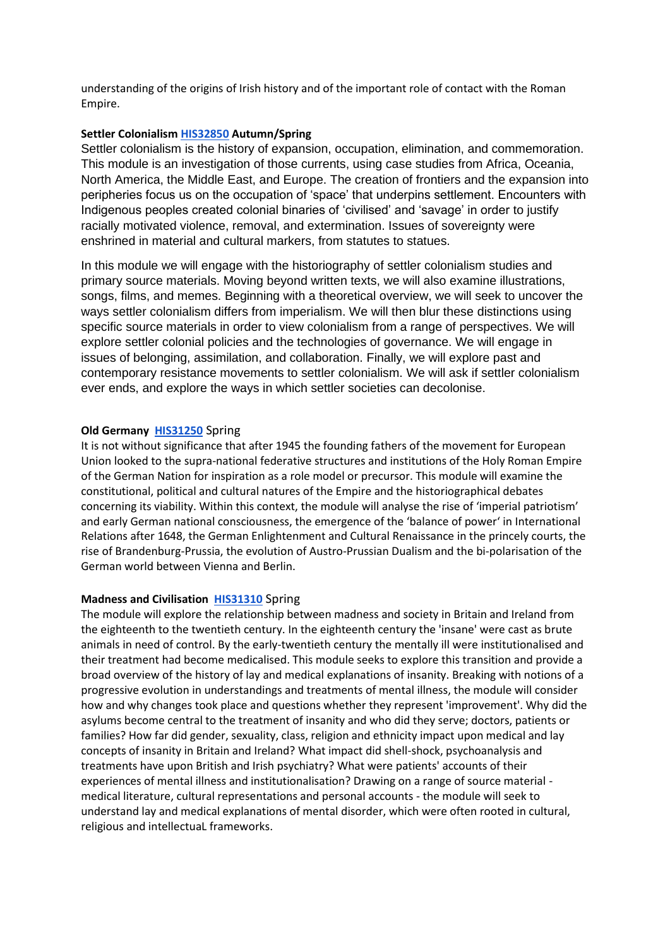understanding of the origins of Irish history and of the important role of contact with the Roman Empire.

### **Settler Colonialis[m HIS32850](https://hub.ucd.ie/usis/W_HU_REPORTING.P_LAUNCH_REPORT?p_report=ME200&p_parameters=810C85D963018B7FB5B8E877A7204B4AB95B1F2181625C706160C9D6BE7BC926C48AD7C9307678E0EBBD44D44D5BA241678B2B6B3EE39271CDA88F6AD808D52EDA2430F778970E5864E6D2BEB3F4576C597FD927EDC434EB621030790B83BF8D25D5709EE90FB97756ACE645718921678064CA96D372ED3BC3763BFD70315D828BC3030E201F99D1C89EC1B8DC9CC8C48FF3D9A08255265A7897DA165E45E97B4216ECEDAF26661E301AE8B5FC434F25A238CF68C736BD852FC04991D7CFF2533023C756A85EFED42D0AF8AE9D97BEA7FC0B8E640DAE4B07064C909EBC824710E08779FE5081D892D8B7520E0A905997A497B944486441BC02907ECE2DC36B608EDD4A5E8E906F6053AC872E17B71DC041CD18E6C48AB6D4F13577B13A2B5DCA3F971FBBB81A42391FE9C4B6E3AB9E8CAB6339EA6BD9C713F4FED6BE70750F3427B8C810523ACA9FCCFA2DFFE52E0F63CFC44592C2C309D09616C0DD0FD692FB) Autumn/Spring**

Settler colonialism is the history of expansion, occupation, elimination, and commemoration. This module is an investigation of those currents, using case studies from Africa, Oceania, North America, the Middle East, and Europe. The creation of frontiers and the expansion into peripheries focus us on the occupation of 'space' that underpins settlement. Encounters with Indigenous peoples created colonial binaries of 'civilised' and 'savage' in order to justify racially motivated violence, removal, and extermination. Issues of sovereignty were enshrined in material and cultural markers, from statutes to statues.

In this module we will engage with the historiography of settler colonialism studies and primary source materials. Moving beyond written texts, we will also examine illustrations, songs, films, and memes. Beginning with a theoretical overview, we will seek to uncover the ways settler colonialism differs from imperialism. We will then blur these distinctions using specific source materials in order to view colonialism from a range of perspectives. We will explore settler colonial policies and the technologies of governance. We will engage in issues of belonging, assimilation, and collaboration. Finally, we will explore past and contemporary resistance movements to settler colonialism. We will ask if settler colonialism ever ends, and explore the ways in which settler societies can decolonise.

#### **Old Germany [HIS31250](https://hub.ucd.ie/usis/W_HU_REPORTING.P_DISPLAY_REPORT?p_report=ME200&p_parameters=6F7FE4B89EF8F42B42A2F024123B513812C2246A0348C3724335A895ACC0D683230720BD017689ABE788A6EFD2994B603F39776F994F0A6B9D8CBB5940872F666474AAC041A534311AA571A3DBF27E30CB6BA1197797C7C183A36A50242075C883576DEBB9F9750773F6AE87C9FF4F1DC09F6837BA520B3DEAA3DACCA9DC6E326FAE8ADB5345BF7A11218D0D343FF9EE15F183F39F94825915B661FF64EA616DC6CE97F72AE8DFCB90A20EB61ACA9BFC348AC9D06289C24BF2A7D42667E11F7C6C97B3DD2A731905E49E735D098402B9200A5904E03D56B9A35E19EDF736949750A3CEC735060559A09B2D67B7D1820B05A77778B5A2513B0A1A927866FAC24A2A62198B41403C16A4723BD5F4D89240458714EA97DBDB19605FD34BE0CA0DA685FFF7961B45223AF64E5BE93AB1446D8180891C1A627957292902EF28928E34A56B81B3BC4B7204F0BF03AA748C525BD5C7D0574D695FFAF3DC0E523C388E021B82BC466325BBE0FC6CC2BAE4587B729799D94B3058DF2D4D2420F9C740D4B36EB40BFD3180D58254B572471E0DB324571BD6710EB7E2CE5E17F5E3811AD32DB6F8C88AD5D79431DFF958B0E465C2455205521F8953E59580F2D26311B4FE555309896AEEC61F1EFF862A745AA4326D0AA7743BA93907722D861EDF580D18F076433C0A3DF88B9CE2D134387B6C25634B059EEA99DEE3F49DB9437A390CDB157C0DDFF7B6662577BE2D3943D16A3B56C26A386D201BBACEE2DBDD6B2B22A9BA9E8CA2E5009B689A9A031051D1F50BE405AAD8ED01D1211B8C527EDABBE20AB76FEEC0E2489B6A7BBA972A730CD32AA01068D65C368B221E7E96EC964C72F78C5F6E4FA596CEC3A12E5371248D67934EC527C2949F1C02E56D9ED640425FD3A8)** Spring

It is not without significance that after 1945 the founding fathers of the movement for European Union looked to the supra-national federative structures and institutions of the Holy Roman Empire of the German Nation for inspiration as a role model or precursor. This module will examine the constitutional, political and cultural natures of the Empire and the historiographical debates concerning its viability. Within this context, the module will analyse the rise of 'imperial patriotism' and early German national consciousness, the emergence of the 'balance of power' in International Relations after 1648, the German Enlightenment and Cultural Renaissance in the princely courts, the rise of Brandenburg-Prussia, the evolution of Austro-Prussian Dualism and the bi-polarisation of the German world between Vienna and Berlin.

#### **Madness and Civilisation [HIS31310](https://hub.ucd.ie/usis/W_HU_REPORTING.P_DISPLAY_REPORT?p_report=ME200&p_parameters=6F7FE4B89EF8F42B42A2F024123B513812C2246A0348C3724335A895ACC0D683230720BD017689ABE788A6EFD2994B603F39776F994F0A6B9D8CBB5940872F666474AAC041A534311AA571A3DBF27E30CB6BA1197797C7C183A36A50242075C883576DEBB9F9750773F6AE87C9FF4F1DC09F6837BA520B3DEAA3DACCA9DC6E326FAE8ADB5345BF7A11218D0D343FF9EE72B0DD141B0A8C8636974FE4AC023DD14BB6E0D498893309910C85D31E768B18B7C4DE7AE1AFF58B0FF97542C39B9B1D416252B946D4BEE09D15A778374CCFB9F3A847F043A62B39EFC12BC33E5AD1785A96AE995DB02AD7C215897FAF8FF363B71753445D82E7476D3F7815F9DCCCBBD7A541323F1838F1DB44AD161D08506C79D2BC2DF32EA75965C2BBDCE07640684E50A77AB1A5F7FD7D52331AC53CC7FD65D2A9309DF35F44F4990F37D07ECCB8A262485B706139DE7BE2E487C665F53E20F3C9B9754CAAE28C85F34F11793418399DCF0F3BDF1A4960BC8BB20B980A7E303C92B1F44C880DB7448625E8B0C726B28EFAA20D563FC00BE55EE5267A917A28276673576AF5BDDAA7D67B7C9458BFD5194D42EEBF990B56B7D37BFA7AF00EDFA77BA01ACAA706D677A44D3EAE95463E6B92A64C9C185D975B7D45B24808B13C724D99B38042C4F2F8AF961F1DA3C4BC1B4AD6BC893C58E6D1EB667739406767BAAD3F4A7EF54496879A4055B29CF74C8A7D54C29DC7F09FE70EA94C7DA1C835A4F7F5B7BC5D555E8B6015BAA09CA9857CC33AC1ED58E856743B554E66E069B16DB05E7E0158DC65474374E343A19E34BD93677D4E382147134F1E90ED2DD501E8EE5EBB3726A6B84AA4389725E4BB86D2C5FB402E94EB7D0936A5DC6B7E35E1DD1AA5C125225A596A931AD304A4DA136A6B0027ACD2D718B8479504BC0C5F)** Spring

The module will explore the relationship between madness and society in Britain and Ireland from the eighteenth to the twentieth century. In the eighteenth century the 'insane' were cast as brute animals in need of control. By the early-twentieth century the mentally ill were institutionalised and their treatment had become medicalised. This module seeks to explore this transition and provide a broad overview of the history of lay and medical explanations of insanity. Breaking with notions of a progressive evolution in understandings and treatments of mental illness, the module will consider how and why changes took place and questions whether they represent 'improvement'. Why did the asylums become central to the treatment of insanity and who did they serve; doctors, patients or families? How far did gender, sexuality, class, religion and ethnicity impact upon medical and lay concepts of insanity in Britain and Ireland? What impact did shell-shock, psychoanalysis and treatments have upon British and Irish psychiatry? What were patients' accounts of their experiences of mental illness and institutionalisation? Drawing on a range of source material medical literature, cultural representations and personal accounts - the module will seek to understand lay and medical explanations of mental disorder, which were often rooted in cultural, religious and intellectuaL frameworks.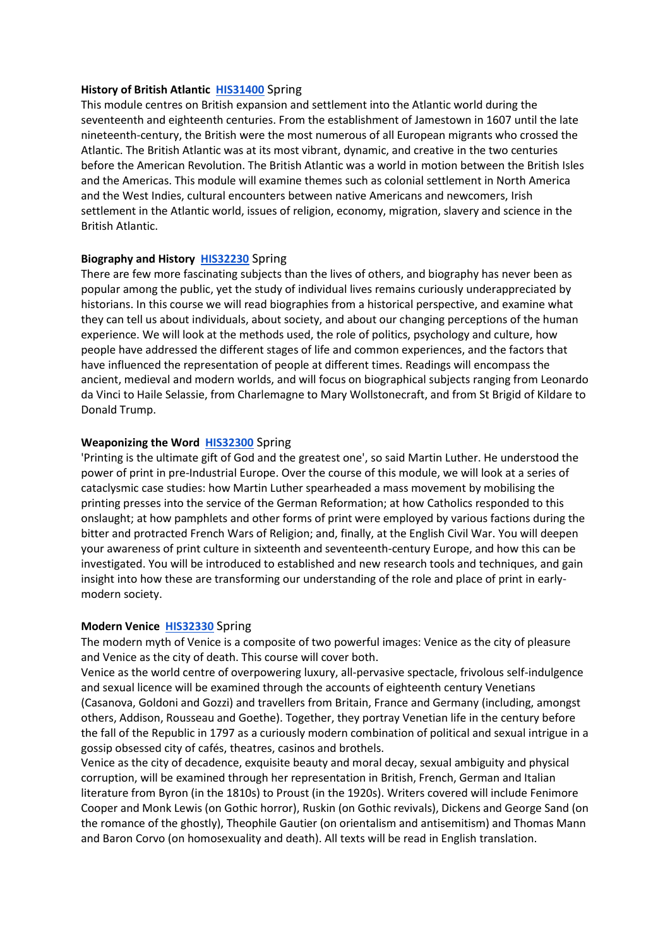#### **History of British Atlantic [HIS31400](https://hub.ucd.ie/usis/W_HU_REPORTING.P_DISPLAY_REPORT?p_report=ME200&p_parameters=6F7FE4B89EF8F42B42A2F024123B513812C2246A0348C3724335A895ACC0D683230720BD017689ABE788A6EFD2994B603F39776F994F0A6B9D8CBB5940872F666474AAC041A534311AA571A3DBF27E30CB6BA1197797C7C183A36A50242075C883576DEBB9F9750773F6AE87C9FF4F1DC09F6837BA520B3DEAA3DACCA9DC6E326FAE8ADB5345BF7A11218D0D343FF9EEBCBED12AF8422DA09A86C64EB2AE95E209F7E5D194CDC9E0B55F30F3BA8AAD9A73F301068A0B3A32DE861BCDC9DB76A57EE5B447075E93EC23932F5A39B279872E045B0ADA05EBA7097EF6D2D2C8F8EAA22B60F1DBD6C527423F940AB248E38B0609A52D455649625F65FD7F5DE386A02FB27A5A05F1C645ACCB0D11C6BF8EA5A9C8003725DA36B6A2BA0FF6F0E23D39FE7B1FE25268B630CB0E5D1F741FAD27A46CCE0DC307D6B2004A219FFB26A5F25BDEFF4BBB43173E49B4F9FBDBB85FA80A1CE37298B6A6E36A9C770F5439D6C0EAE2CA8F23004BE4DA51FF257C4B360B4F4409B572CEEBF0CBE9F42658F09B4F60D5DE1C6DD588A0F88D78377CA344D2DA077ED2873145A6F44F8C3C1AF982251CBA909390C5F47E3702019E8E89A03BAC665C4E03FF19FC6FDF9EBEF4F6F73017D2E1CC52C56EA20E89A4C7ACA529CBDCB0288AA75E8AD6C378D7DA3C3FDEDA9291A4A8A816FFEA0C8968A48D8E9742070B90CF4F71C5FE53F7B3EAC4A25528A265835FD90AB70CEE166736885F041B910C7FED0A65D93F6285021297A6E65CCB10FE75B97CFC9FB577DEFE3410A627CD8E56DE901E07767D26F06DB93702FE9E60E9877F1D95FF219D04AEC29FBF45675DC2DE9558958A4E2011C7DA80A848FF2D7752EC1B118C4B153E16F8C65F7D15D878481C4F2C3DC7DAADE86BD00EF0A1ACDEC511742D0FB2291DF9E08DC9DD)** Spring

This module centres on British expansion and settlement into the Atlantic world during the seventeenth and eighteenth centuries. From the establishment of Jamestown in 1607 until the late nineteenth-century, the British were the most numerous of all European migrants who crossed the Atlantic. The British Atlantic was at its most vibrant, dynamic, and creative in the two centuries before the American Revolution. The British Atlantic was a world in motion between the British Isles and the Americas. This module will examine themes such as colonial settlement in North America and the West Indies, cultural encounters between native Americans and newcomers, Irish settlement in the Atlantic world, issues of religion, economy, migration, slavery and science in the British Atlantic.

#### **Biography and History [HIS32230](https://hub.ucd.ie/usis/W_HU_REPORTING.P_DISPLAY_REPORT?p_report=ME200&p_parameters=6F7FE4B89EF8F42B42A2F024123B513812C2246A0348C3724335A895ACC0D683230720BD017689ABE788A6EFD2994B603F39776F994F0A6B9D8CBB5940872F666474AAC041A534311AA571A3DBF27E30CB6BA1197797C7C183A36A50242075C883576DEBB9F9750773F6AE87C9FF4F1DC09F6837BA520B3DEAA3DACCA9DC6E326FAE8ADB5345BF7A11218D0D343FF9EE70AB239A4DD52EC8F4495508B43167CBF3B9C64DE71752E0AAF6F3C5363CF5CE588E61A7BD9EF2E5C7B908AAFE5E09A024DF51F5F67E46C08858CADA294AC9F737E21A537FC4E80F89F2CB5DE30725DE84A58F1B4AE283371EEDD921CB6166C01A653CB1B1D9F0FC0B86087D1393C90DF99083925827E67557358C65DA04693F6D60B7B924F214D2E9C7574BA166BC85CB116289B5AC42CD1ED9E7433EACC140DB4E3B46ABC2B64960A1C6B10777D6C7990C9E431104E30945860A884FB54CE7DC66EF1E28C87A65D90841123274BAAD0D8058C218175B3AE9D5A73295D088F7402AD8A6E1A2A6614B2B972C9CDB6BCDC55C8C714C3CDB4230F4EBF1B57F8D082BFA8F2DB4B50E29068ED941F6B1FDF4126A6B0151A23AD9342BA7449B6B58925D618094F59E3080A1AEFBEAC12C9D6C24D67976BDAE83269D904D76D57F0632BC715BC7877550C3C2D4835A1ED22E0C537EC3DDFF73DC0C855512F992868D3B2DC52FD71F2D29603A20078C85A02EA5AEFCC6601C18FAE16CC57061248FBABE1A3B737C1C799B7E6781E94C07E640245B9B18518E526F6E576F655EF37D8BE564D833F9C48AC2A8381A5AF396358B3F51972235F2EA4F144B4E83E10D2A814ACD00C542BC481D08DD327D0D87858CBF236DD6F45629D69D4B86F2E24ACB90EB183D78811DC2CC41449758E733299636034DD9CFAC99A4ED1A5C8B7B175B134B)** Spring

There are few more fascinating subjects than the lives of others, and biography has never been as popular among the public, yet the study of individual lives remains curiously underappreciated by historians. In this course we will read biographies from a historical perspective, and examine what they can tell us about individuals, about society, and about our changing perceptions of the human experience. We will look at the methods used, the role of politics, psychology and culture, how people have addressed the different stages of life and common experiences, and the factors that have influenced the representation of people at different times. Readings will encompass the ancient, medieval and modern worlds, and will focus on biographical subjects ranging from Leonardo da Vinci to Haile Selassie, from Charlemagne to Mary Wollstonecraft, and from St Brigid of Kildare to Donald Trump.

#### **Weaponizing the Word [HIS32300](https://hub.ucd.ie/usis/W_HU_REPORTING.P_DISPLAY_REPORT?p_report=ME200&p_parameters=6F7FE4B89EF8F42B42A2F024123B513812C2246A0348C3724335A895ACC0D683230720BD017689ABE788A6EFD2994B603F39776F994F0A6B9D8CBB5940872F666474AAC041A534311AA571A3DBF27E30CB6BA1197797C7C183A36A50242075C883576DEBB9F9750773F6AE87C9FF4F1DC09F6837BA520B3DEAA3DACCA9DC6E326FAE8ADB5345BF7A11218D0D343FF9EE0972A481AC60C5964EFE580B37A57ADFDBBAAF9C57A1A1119A92E87D666363A860E7C92451BD1AF808BEBE42D9B7214C4F6826DA83C6EF27974C8506904C72F1F0232552B3B16280EDB041907E3E3F7E284EE7947E319F94A032E6B603102592C3A8CA63918180DFB09179D43E07CB0FC64BBD7619D49AC477F07445337E62656B2E0F7F46F997936337120D41212C5BD59C2AFFE08AD22F06AA464EB3D9B536BFB667FB921F00D5E7AE8220A61D8AEBE813A74C1984E15804FEE9BA9C197B26B30C249CC95D0980518071FCABD2DEAB2E301E036762E20BC2F9FA57E708DE61E362B5DE6842391F175E7B590D0B46F3B5222C938DB7C27FEBF5C55657822149C623FA405B4C75DC618B5DF6CAF9595E9EF874B6CE0F37AF8F640D3B2BDEF6CAC5B21866367C806A3E5AF494603F7825854092F5F4B9C25E3E613B541AB40E8CB2DF238BF3870A0F00A796D1A4291EDB6E5B8F832D79E0B771341105EA78681F3B127DFABA0E929F600C8A7B029773DC7BEC7D20CF7395F86F6D78A5C93204645F443CFAB8F23D81DE0F8CE77E8D7391BC8D56851CD127540125737D1A76CDBC5607FE3564578CE33922B5BDA0D85F94AE07AC05AD3B538EC0C83D7338A6DCDB7A1754033A6E9B0954B58F86990366A75ED9D31226A782A1FE1DA5874EF5FE4E0567672A55BCF8696D3CFF750D29EC95ED0E786FA306CCDA05466DE993D26296)** Spring

'Printing is the ultimate gift of God and the greatest one', so said Martin Luther. He understood the power of print in pre-Industrial Europe. Over the course of this module, we will look at a series of cataclysmic case studies: how Martin Luther spearheaded a mass movement by mobilising the printing presses into the service of the German Reformation; at how Catholics responded to this onslaught; at how pamphlets and other forms of print were employed by various factions during the bitter and protracted French Wars of Religion; and, finally, at the English Civil War. You will deepen your awareness of print culture in sixteenth and seventeenth-century Europe, and how this can be investigated. You will be introduced to established and new research tools and techniques, and gain insight into how these are transforming our understanding of the role and place of print in earlymodern society.

#### **Modern Venice [HIS32330](https://hub.ucd.ie/usis/W_HU_REPORTING.P_DISPLAY_REPORT?p_report=ME200&p_parameters=6F7FE4B89EF8F42B42A2F024123B513812C2246A0348C3724335A895ACC0D683230720BD017689ABE788A6EFD2994B603F39776F994F0A6B9D8CBB5940872F666474AAC041A534311AA571A3DBF27E30CB6BA1197797C7C183A36A50242075C883576DEBB9F9750773F6AE87C9FF4F1DC09F6837BA520B3DEAA3DACCA9DC6E326FAE8ADB5345BF7A11218D0D343FF9EEE9CD781CDB45B37B474B4328BC589906E234C6F63CF4607477452AA1332D659E259503B37376432228C7A88E969D55BCCF83D5705D23AADFF7EBC4D1C248FCA125DBF4DE5906DA3ACBD96BBD01EF24BE9AE9A303D4E0EDDBCEC175917F680CF28D927A1F47FAAA739E6DB13934FDD699E439B45943206CCE26BD1CBABAE36C4530A9158FEAAD69FA97452A40EB83AD78DEE3917030233BF64A20C843C0D892528E6812C273721D8C2F2621507EECD6115E7DB7C8D62495036C80AFC34106EDC2312A0CB25F6DAE8B0D112A0DDB175D4CF889BDF3B0336032471D5A67F803F43D394095D25F9A1C14B95939A8122D0FA0C026615D32486D5D74CAA4811B7E44D553492A3D35B4451F2151D448F31C4023D05C1FB5927D4DD2657610F6FE9E73482C52AD3925BA9AB02A0E937976424CEE6A298BB4D8CDA284101A77D0D585CE684797438F9F029770B4C5EB579DB8ABBB7A77EC73F96426C8F38807AC9464228772DC5CEA971E8E868CEA6D7210439E57A3C893C5B42FAC8A283BF9C83960647E004AEA2F8EED0A0DE4F603D5A610792718C876B1D261110BEAEAC57133415F8FF242F984B905B17A5EA795016742A44ACFB98385AD1E209ACEE6338CF015CAD148056813801690ACF898DDEFF97F858ACEB8BC44BA375D7ACEA10A603C6DD5CA4E04E566294D5CF3F22FC0794A4F8EF7)** Spring

The modern myth of Venice is a composite of two powerful images: Venice as the city of pleasure and Venice as the city of death. This course will cover both.

Venice as the world centre of overpowering luxury, all-pervasive spectacle, frivolous self-indulgence and sexual licence will be examined through the accounts of eighteenth century Venetians (Casanova, Goldoni and Gozzi) and travellers from Britain, France and Germany (including, amongst others, Addison, Rousseau and Goethe). Together, they portray Venetian life in the century before the fall of the Republic in 1797 as a curiously modern combination of political and sexual intrigue in a gossip obsessed city of cafés, theatres, casinos and brothels.

Venice as the city of decadence, exquisite beauty and moral decay, sexual ambiguity and physical corruption, will be examined through her representation in British, French, German and Italian literature from Byron (in the 1810s) to Proust (in the 1920s). Writers covered will include Fenimore Cooper and Monk Lewis (on Gothic horror), Ruskin (on Gothic revivals), Dickens and George Sand (on the romance of the ghostly), Theophile Gautier (on orientalism and antisemitism) and Thomas Mann and Baron Corvo (on homosexuality and death). All texts will be read in English translation.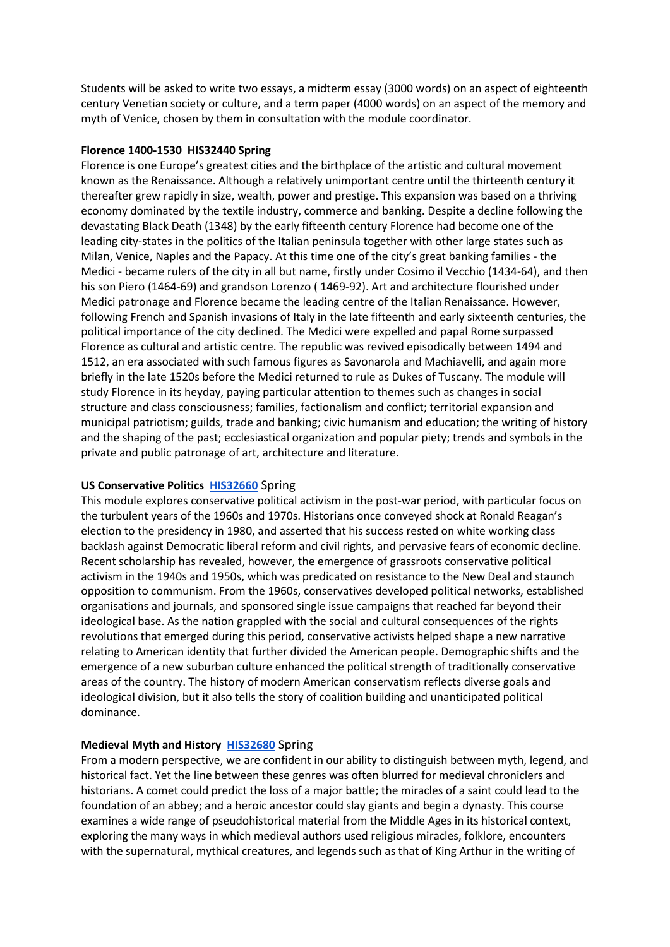Students will be asked to write two essays, a midterm essay (3000 words) on an aspect of eighteenth century Venetian society or culture, and a term paper (4000 words) on an aspect of the memory and myth of Venice, chosen by them in consultation with the module coordinator.

# **Florence 1400-1530 HIS32440 Spring**

Florence is one Europe's greatest cities and the birthplace of the artistic and cultural movement known as the Renaissance. Although a relatively unimportant centre until the thirteenth century it thereafter grew rapidly in size, wealth, power and prestige. This expansion was based on a thriving economy dominated by the textile industry, commerce and banking. Despite a decline following the devastating Black Death (1348) by the early fifteenth century Florence had become one of the leading city-states in the politics of the Italian peninsula together with other large states such as Milan, Venice, Naples and the Papacy. At this time one of the city's great banking families - the Medici - became rulers of the city in all but name, firstly under Cosimo il Vecchio (1434-64), and then his son Piero (1464-69) and grandson Lorenzo ( 1469-92). Art and architecture flourished under Medici patronage and Florence became the leading centre of the Italian Renaissance. However, following French and Spanish invasions of Italy in the late fifteenth and early sixteenth centuries, the political importance of the city declined. The Medici were expelled and papal Rome surpassed Florence as cultural and artistic centre. The republic was revived episodically between 1494 and 1512, an era associated with such famous figures as Savonarola and Machiavelli, and again more briefly in the late 1520s before the Medici returned to rule as Dukes of Tuscany. The module will study Florence in its heyday, paying particular attention to themes such as changes in social structure and class consciousness; families, factionalism and conflict; territorial expansion and municipal patriotism; guilds, trade and banking; civic humanism and education; the writing of history and the shaping of the past; ecclesiastical organization and popular piety; trends and symbols in the private and public patronage of art, architecture and literature.

# **US Conservative Politics [HIS32660](https://hub.ucd.ie/usis/W_HU_REPORTING.P_DISPLAY_REPORT?p_report=ME200&p_parameters=6F7FE4B89EF8F42B42A2F024123B513812C2246A0348C3724335A895ACC0D683230720BD017689ABE788A6EFD2994B603F39776F994F0A6B9D8CBB5940872F666474AAC041A534311AA571A3DBF27E30CB6BA1197797C7C183A36A50242075C883576DEBB9F9750773F6AE87C9FF4F1DC09F6837BA520B3DEAA3DACCA9DC6E326FAE8ADB5345BF7A11218D0D343FF9EE976FF4AE1FBEF2F5A829CE77A3432BCF705113B4C92B5CCAE8248F70832C6FAA22B0D989888E58AD738E5C144B58727B12D919753FC90024CD7F056E13ECD3D530D9C520801E244F94C8FC4721AF50F99FAA7B5751DCB62B6B97E2333276BAC7716E89E213ADABBCEBCBA752A63600178F6AD6976532E6063C1B4AA0D8A9E427C0FB7B4CEE2D7FDDC93F39401A4F7463BEAFC0BFF6F4D4F0F8FCE0543137EB51FA5ADE8F1F90EBF8EE93951DD7A5FE72080CCC1BBB209CAB31C7C9C989813CD2BBDF9888317B150217A6A94A43411A99928DACD528322F3F1623ADF82B683FA979DC521D72D8FDF073A33DFD9DB39ADB804A27EB984DDD8F7CD37818D19F6FED6148837BE70A05593361681378DC3E07C353AC9FB05B04E1190B3B295B149D02B4386CF12D8F71A759CD7D093E7FF6714862F4E43F3BE59E74D9A99BA65A730A1C8F95E5370AAF17CB85D5844D2283F1E833BE5EC2755FE0582E4CF8DA0BBAE9CC413061B0108F483A2BA2C1C8B5D49D73B6EF0A2A27FA4C7B4C84592A27524793C9CD8B02903D97CBA9DFD91B5B4D2EDB7077776BB48152570F82DE89D03F40AFCB8D51F7DFC3B3E88D8367892D81D66E0FBA3BAEB2A3DD430C842F40B9A430AB1F858B542652051AD38A14E0034A9D89C06BBD27EB32830963E1B9DC895E13FC6BC02C1E691BDD2E008B28788356DE705DA7A2AB744C6E4265FF20D4D4891F)** Spring

This module explores conservative political activism in the post-war period, with particular focus on the turbulent years of the 1960s and 1970s. Historians once conveyed shock at Ronald Reagan's election to the presidency in 1980, and asserted that his success rested on white working class backlash against Democratic liberal reform and civil rights, and pervasive fears of economic decline. Recent scholarship has revealed, however, the emergence of grassroots conservative political activism in the 1940s and 1950s, which was predicated on resistance to the New Deal and staunch opposition to communism. From the 1960s, conservatives developed political networks, established organisations and journals, and sponsored single issue campaigns that reached far beyond their ideological base. As the nation grappled with the social and cultural consequences of the rights revolutions that emerged during this period, conservative activists helped shape a new narrative relating to American identity that further divided the American people. Demographic shifts and the emergence of a new suburban culture enhanced the political strength of traditionally conservative areas of the country. The history of modern American conservatism reflects diverse goals and ideological division, but it also tells the story of coalition building and unanticipated political dominance.

# **Medieval Myth and History [HIS32680](https://hub.ucd.ie/usis/W_HU_REPORTING.P_DISPLAY_REPORT?p_report=ME200&p_parameters=6F7FE4B89EF8F42B42A2F024123B513812C2246A0348C3724335A895ACC0D683230720BD017689ABE788A6EFD2994B603F39776F994F0A6B9D8CBB5940872F666474AAC041A534311AA571A3DBF27E30CB6BA1197797C7C183A36A50242075C883576DEBB9F9750773F6AE87C9FF4F1DC09F6837BA520B3DEAA3DACCA9DC6E326FAE8ADB5345BF7A11218D0D343FF9EE76478C3B826BCCFEB4D79DF9A6DCFE3A10BD9725FBCF4E5F981C67518B860FE972E754F539FC9FCC5737645E872539662C99DF4BD7ED8AAFADEDBC0EB190A2D5A8CBABB661598A454148975AEEEE8EFE7FE0AB5F6E84C1E967B476E3C55A3C8452F3EF4D5F6A7B8F995991EE81B282034341CD80B52A41F710BBF2BAB568D5410B20DDF42F29D25A42C763401860C6BEE053F699491A8EAB98ADDE25B1D425E289DEDF3FBC18BA125F4BFDE5C7FE3CA55720DC231CE732114BCD781FE7933B929F8F512CDBE66FAD7F006B8B7F144FA1DD6409CE494E774A6DD31099B6F443748D82ECFD097EDD7A337E65392CDEEF100BA5B6826242DDFF879985C09EB02317CD35E7A761BE64CD9519E20D2E76D9B9D2CCA5A036E258594940E78639318455438A89BB73E78C12C555861A7AB761F28727161F96F35FFF31B2CFDDA5E26F923291AE0CEF1B41A167F1E28DE8F81FD55B67BB3C0DB0D7D4FB98BD4D5B210D3DF7773C514B4A16A12885CEF7B1647E6821FF5FFBE733A794BFED96555484A6B6C34C802CA9D5C30989602A5A9CC9B5603101565D2CC6871122B670153BA80F29FEE21AEAF1A86639E05FCC80282E22EA3E51A041B78B2A79DDF65CF0561CBE52200C7049A2BBAB120E90D8A6F39E4A5F51603CAB21161D1B3E41AA30D7ADEE8B236E0DE2B6191E1F7EBE4511FB14EBDB2DD4C6C500B1ED953F48272C08459E47)** Spring

From a modern perspective, we are confident in our ability to distinguish between myth, legend, and historical fact. Yet the line between these genres was often blurred for medieval chroniclers and historians. A comet could predict the loss of a major battle; the miracles of a saint could lead to the foundation of an abbey; and a heroic ancestor could slay giants and begin a dynasty. This course examines a wide range of pseudohistorical material from the Middle Ages in its historical context, exploring the many ways in which medieval authors used religious miracles, folklore, encounters with the supernatural, mythical creatures, and legends such as that of King Arthur in the writing of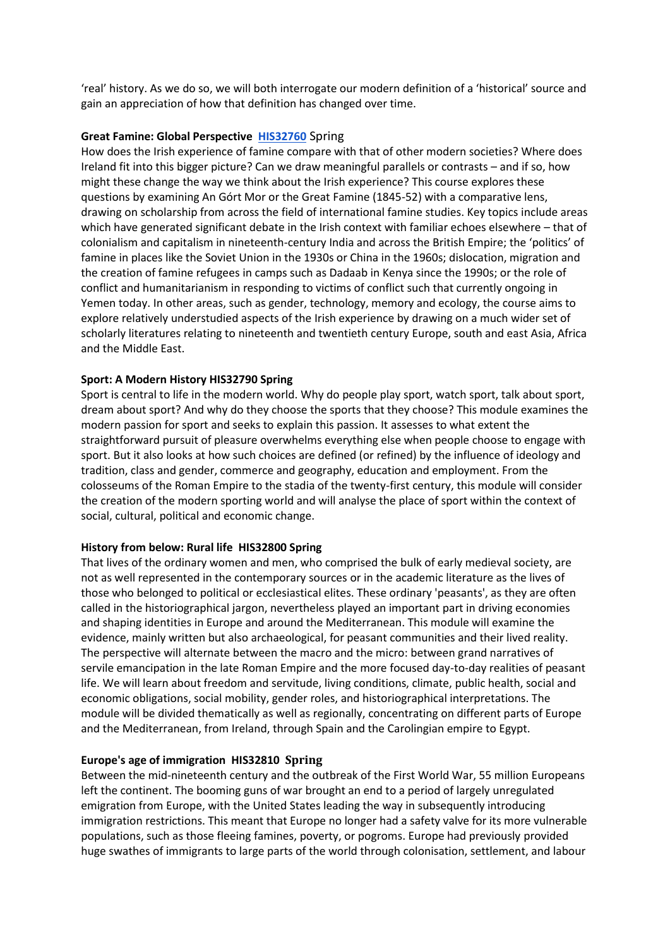'real' history. As we do so, we will both interrogate our modern definition of a 'historical' source and gain an appreciation of how that definition has changed over time.

### **Great Famine: Global Perspective [HIS32760](https://hub.ucd.ie/usis/W_HU_REPORTING.P_DISPLAY_REPORT?p_report=ME200&p_parameters=6F7FE4B89EF8F42B42A2F024123B513812C2246A0348C3724335A895ACC0D683230720BD017689ABE788A6EFD2994B603F39776F994F0A6B9D8CBB5940872F666474AAC041A534311AA571A3DBF27E30CB6BA1197797C7C183A36A50242075C883576DEBB9F9750773F6AE87C9FF4F1DC09F6837BA520B3DEAA3DACCA9DC6E326FAE8ADB5345BF7A11218D0D343FF9EEF75DBCD1F91E052B2145BF6910CC4CF12AECA37869404873B8EEC7C147323A704C958766AC42CCB87DAE6560CBF00B6D0668F57DE3251159623ED410530A51E7564173D8A536320A71516E93AC714DD391DDBB618FE40BE20C42FA7396FC646D07A745644AF39ABC4B3C0D0D6C471546811F8419DAF3776578EB7995974CAAEE79AAC967FEA5C7D0CA65E843C0DCAFC2BB80D138F7AB0E8011CE848DA1935FD890D11DEC9DBEB91D8D99A5D156CF5CD67834EF1197C387D1721AEA74147D25084E7291E0A30004090DD27F62AC6885A9E52BD684905B1837416888D9ED0E31A20D637C8F26EF8470BAA4A0DC60A690C52C05CAA7EE11177920324F3A013A360FC155C76F4822D2D1F5C5BB5CBA9F630C80C79400EEACBD497A9D3BB17F53B5AF816488B1BBD7BF24EA82FC8DE13C76EA1DF6E86E2CB579EAF42514A0CA1F8676F4D04BA51703459BF96B87B084B72B679BE573AC99B71B88ABACB8FE85A550364C48F33A34B71FD1E03177177B94C5866264B71D30B5E66FA934F7D7AF87CF33C160A83DBB6ED718A61EA97B61057C6E23E4BA74A40663A2BA6103820845E820BD03B0F358E460D838D1E854C6CBC76903785A6FEF384E0F8A93C7680AD2218939215317793C501A0F10AC0F0C798A51EE33B756B7AE56DD96432D4DFA07DB6C9CB14C26460DBFFB5D373538CA6E4AAC8A28834D8C680DDA9A6D7A07F5B06224)** Spring

How does the Irish experience of famine compare with that of other modern societies? Where does Ireland fit into this bigger picture? Can we draw meaningful parallels or contrasts – and if so, how might these change the way we think about the Irish experience? This course explores these questions by examining An Górt Mor or the Great Famine (1845-52) with a comparative lens, drawing on scholarship from across the field of international famine studies. Key topics include areas which have generated significant debate in the Irish context with familiar echoes elsewhere – that of colonialism and capitalism in nineteenth-century India and across the British Empire; the 'politics' of famine in places like the Soviet Union in the 1930s or China in the 1960s; dislocation, migration and the creation of famine refugees in camps such as Dadaab in Kenya since the 1990s; or the role of conflict and humanitarianism in responding to victims of conflict such that currently ongoing in Yemen today. In other areas, such as gender, technology, memory and ecology, the course aims to explore relatively understudied aspects of the Irish experience by drawing on a much wider set of scholarly literatures relating to nineteenth and twentieth century Europe, south and east Asia, Africa and the Middle East.

#### **Sport: A Modern History HIS32790 Spring**

Sport is central to life in the modern world. Why do people play sport, watch sport, talk about sport, dream about sport? And why do they choose the sports that they choose? This module examines the modern passion for sport and seeks to explain this passion. It assesses to what extent the straightforward pursuit of pleasure overwhelms everything else when people choose to engage with sport. But it also looks at how such choices are defined (or refined) by the influence of ideology and tradition, class and gender, commerce and geography, education and employment. From the colosseums of the Roman Empire to the stadia of the twenty-first century, this module will consider the creation of the modern sporting world and will analyse the place of sport within the context of social, cultural, political and economic change.

#### **History from below: Rural life HIS32800 Spring**

That lives of the ordinary women and men, who comprised the bulk of early medieval society, are not as well represented in the contemporary sources or in the academic literature as the lives of those who belonged to political or ecclesiastical elites. These ordinary 'peasants', as they are often called in the historiographical jargon, nevertheless played an important part in driving economies and shaping identities in Europe and around the Mediterranean. This module will examine the evidence, mainly written but also archaeological, for peasant communities and their lived reality. The perspective will alternate between the macro and the micro: between grand narratives of servile emancipation in the late Roman Empire and the more focused day-to-day realities of peasant life. We will learn about freedom and servitude, living conditions, climate, public health, social and economic obligations, social mobility, gender roles, and historiographical interpretations. The module will be divided thematically as well as regionally, concentrating on different parts of Europe and the Mediterranean, from Ireland, through Spain and the Carolingian empire to Egypt.

#### **Europe's age of immigration HIS32810 Spring**

Between the mid-nineteenth century and the outbreak of the First World War, 55 million Europeans left the continent. The booming guns of war brought an end to a period of largely unregulated emigration from Europe, with the United States leading the way in subsequently introducing immigration restrictions. This meant that Europe no longer had a safety valve for its more vulnerable populations, such as those fleeing famines, poverty, or pogroms. Europe had previously provided huge swathes of immigrants to large parts of the world through colonisation, settlement, and labour